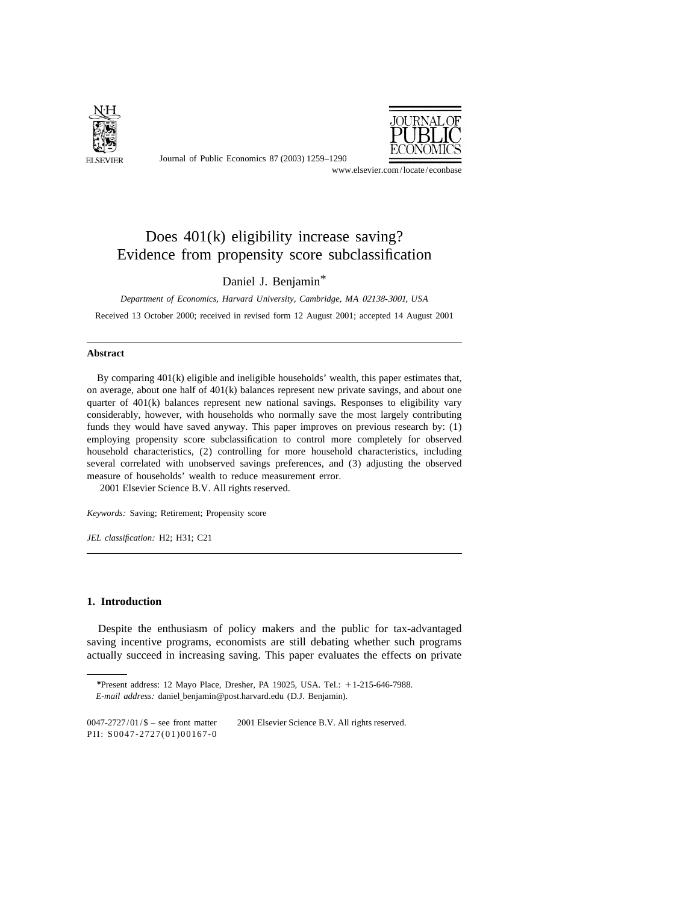

Journal of Public Economics 87 (2003) 1259–1290



www.elsevier.com/locate/econbase

# Does 401(k) eligibility increase saving? Evidence from propensity score subclassification

## Daniel J. Benjamin\*

*Department of Economics*, *Harvard University*, *Cambridge*, *MA* <sup>02138</sup>-3001, *USA*

Received 13 October 2000; received in revised form 12 August 2001; accepted 14 August 2001

### **Abstract**

By comparing  $401(k)$  eligible and ineligible households' wealth, this paper estimates that, on average, about one half of 401(k) balances represent new private savings, and about one quarter of  $401(k)$  balances represent new national savings. Responses to eligibility vary considerably, however, with households who normally save the most largely contributing funds they would have saved anyway. This paper improves on previous research by: (1) employing propensity score subclassification to control more completely for observed household characteristics, (2) controlling for more household characteristics, including several correlated with unobserved savings preferences, and (3) adjusting the observed measure of households' wealth to reduce measurement error. 2001 Elsevier Science B.V. All rights reserved.

*Keywords*: Saving; Retirement; Propensity score

*JEL classification*: H2; H31; C21

### **1. Introduction**

Despite the enthusiasm of policy makers and the public for tax-advantaged saving incentive programs, economists are still debating whether such programs actually succeed in increasing saving. This paper evaluates the effects on private

*<sup>\*</sup>Present address: 12 Mayo Place, Dresher, PA 19025, USA. Tel.: +1-215-646-7988. E-mail address:* daniel benjamin@post.harvard.edu (D.J. Benjamin).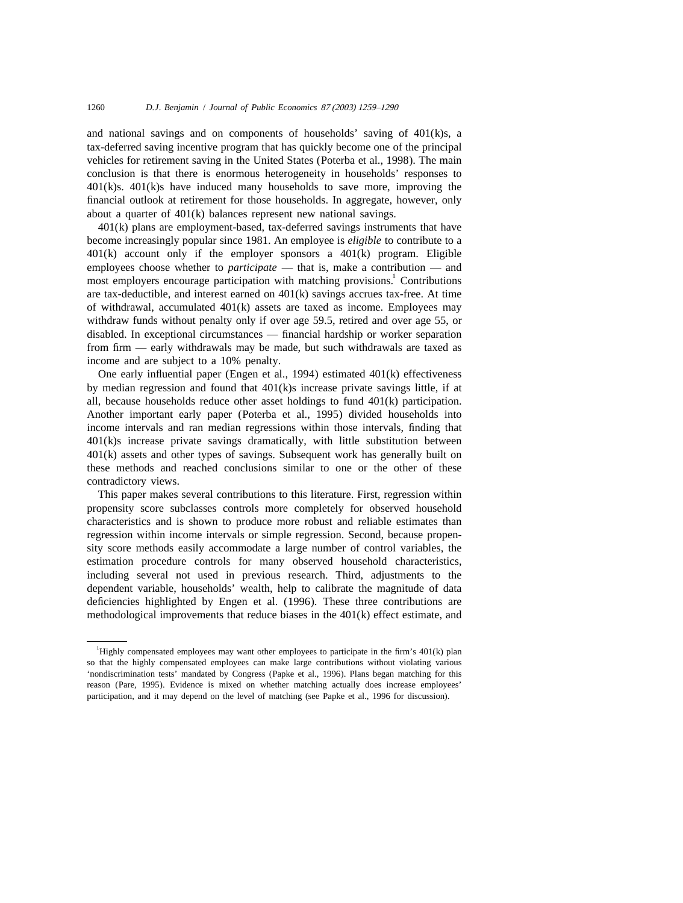and national savings and on components of households' saving of  $401(k)s$ , a tax-deferred saving incentive program that has quickly become one of the principal vehicles for retirement saving in the United States (Poterba et al., 1998). The main conclusion is that there is enormous heterogeneity in households' responses to  $401(k)$ s.  $401(k)$ s have induced many households to save more, improving the financial outlook at retirement for those households. In aggregate, however, only about a quarter of 401(k) balances represent new national savings.

401(k) plans are employment-based, tax-deferred savings instruments that have become increasingly popular since 1981. An employee is *eligible* to contribute to a  $401(k)$  account only if the employer sponsors a  $401(k)$  program. Eligible employees choose whether to *participate* — that is, make a contribution — and most employers encourage participation with matching provisions. Contributions are tax-deductible, and interest earned on 401(k) savings accrues tax-free. At time of withdrawal, accumulated  $401(k)$  assets are taxed as income. Employees may withdraw funds without penalty only if over age 59.5, retired and over age 55, or disabled. In exceptional circumstances — financial hardship or worker separation from firm — early withdrawals may be made, but such withdrawals are taxed as income and are subject to a 10% penalty.

One early influential paper (Engen et al., 1994) estimated 401(k) effectiveness by median regression and found that  $401(k)$ s increase private savings little, if at all, because households reduce other asset holdings to fund 401(k) participation. Another important early paper (Poterba et al., 1995) divided households into income intervals and ran median regressions within those intervals, finding that 401(k)s increase private savings dramatically, with little substitution between 401(k) assets and other types of savings. Subsequent work has generally built on these methods and reached conclusions similar to one or the other of these contradictory views.

This paper makes several contributions to this literature. First, regression within propensity score subclasses controls more completely for observed household characteristics and is shown to produce more robust and reliable estimates than regression within income intervals or simple regression. Second, because propensity score methods easily accommodate a large number of control variables, the estimation procedure controls for many observed household characteristics, including several not used in previous research. Third, adjustments to the dependent variable, households' wealth, help to calibrate the magnitude of data deficiencies highlighted by Engen et al. (1996). These three contributions are methodological improvements that reduce biases in the 401(k) effect estimate, and

<sup>&</sup>lt;sup>1</sup>Highly compensated employees may want other employees to participate in the firm's 401(k) plan so that the highly compensated employees can make large contributions without violating various 'nondiscrimination tests' mandated by Congress (Papke et al., 1996). Plans began matching for this reason (Pare, 1995). Evidence is mixed on whether matching actually does increase employees' participation, and it may depend on the level of matching (see Papke et al., 1996 for discussion).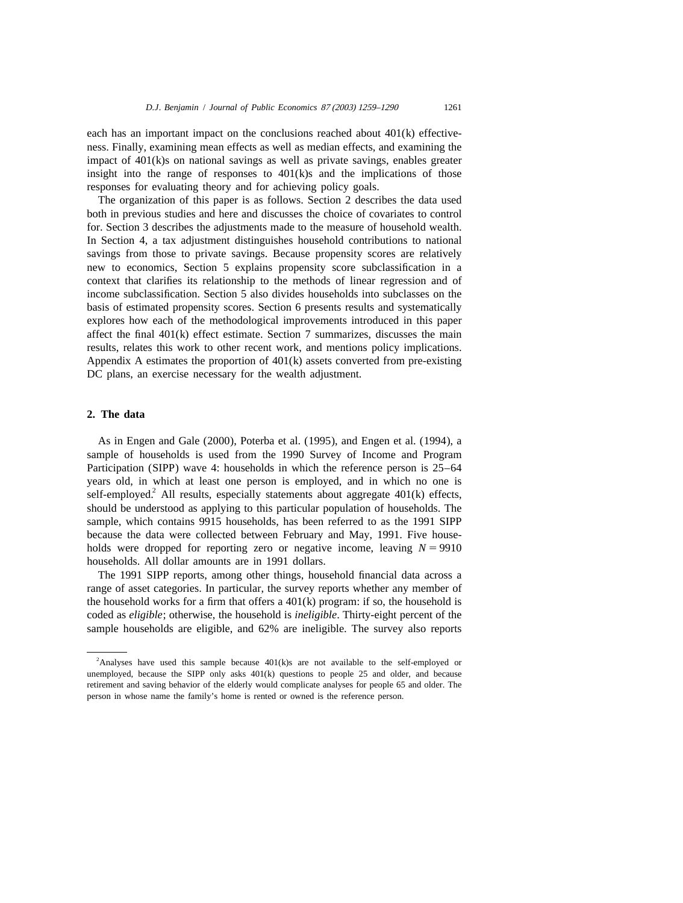each has an important impact on the conclusions reached about 401(k) effectiveness. Finally, examining mean effects as well as median effects, and examining the impact of 401(k)s on national savings as well as private savings, enables greater insight into the range of responses to  $401(k)s$  and the implications of those responses for evaluating theory and for achieving policy goals.

The organization of this paper is as follows. Section 2 describes the data used both in previous studies and here and discusses the choice of covariates to control for. Section 3 describes the adjustments made to the measure of household wealth. In Section 4, a tax adjustment distinguishes household contributions to national savings from those to private savings. Because propensity scores are relatively new to economics, Section 5 explains propensity score subclassification in a context that clarifies its relationship to the methods of linear regression and of income subclassification. Section 5 also divides households into subclasses on the basis of estimated propensity scores. Section 6 presents results and systematically explores how each of the methodological improvements introduced in this paper affect the final  $401(k)$  effect estimate. Section 7 summarizes, discusses the main results, relates this work to other recent work, and mentions policy implications. Appendix A estimates the proportion of 401(k) assets converted from pre-existing DC plans, an exercise necessary for the wealth adjustment.

### **2. The data**

As in Engen and Gale (2000), Poterba et al. (1995), and Engen et al. (1994), a sample of households is used from the 1990 Survey of Income and Program Participation (SIPP) wave 4: households in which the reference person is 25–64 years old, in which at least one person is employed, and in which no one is self-employed.<sup>2</sup> All results, especially statements about aggregate 401(k) effects, should be understood as applying to this particular population of households. The sample, which contains 9915 households, has been referred to as the 1991 SIPP because the data were collected between February and May, 1991. Five households were dropped for reporting zero or negative income, leaving  $N = 9910$ households. All dollar amounts are in 1991 dollars.

The 1991 SIPP reports, among other things, household financial data across a range of asset categories. In particular, the survey reports whether any member of the household works for a firm that offers a  $401(k)$  program: if so, the household is coded as *eligible*; otherwise, the household is *ineligible*. Thirty-eight percent of the sample households are eligible, and 62% are ineligible. The survey also reports

<sup>&</sup>lt;sup>2</sup>Analyses have used this sample because  $401(k)s$  are not available to the self-employed or unemployed, because the SIPP only asks  $401(k)$  questions to people 25 and older, and because retirement and saving behavior of the elderly would complicate analyses for people 65 and older. The person in whose name the family's home is rented or owned is the reference person.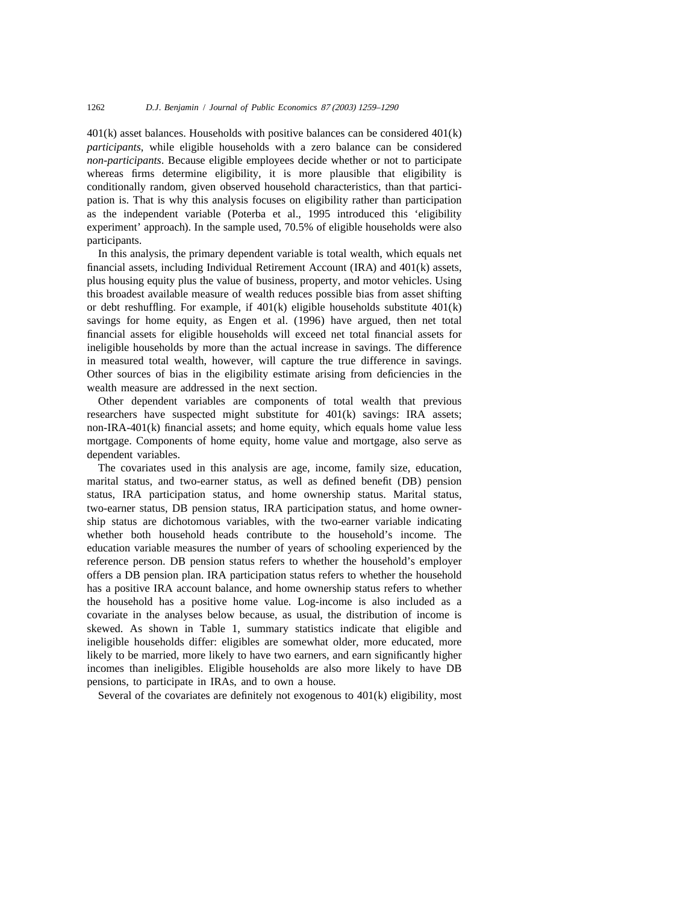401(k) asset balances. Households with positive balances can be considered 401(k) *participants*, while eligible households with a zero balance can be considered *non*-*participants*. Because eligible employees decide whether or not to participate whereas firms determine eligibility, it is more plausible that eligibility is conditionally random, given observed household characteristics, than that participation is. That is why this analysis focuses on eligibility rather than participation as the independent variable (Poterba et al., 1995 introduced this 'eligibility experiment' approach). In the sample used, 70.5% of eligible households were also participants.

In this analysis, the primary dependent variable is total wealth, which equals net financial assets, including Individual Retirement Account (IRA) and 401(k) assets, plus housing equity plus the value of business, property, and motor vehicles. Using this broadest available measure of wealth reduces possible bias from asset shifting or debt reshuffling. For example, if 401(k) eligible households substitute 401(k) savings for home equity, as Engen et al. (1996) have argued, then net total financial assets for eligible households will exceed net total financial assets for ineligible households by more than the actual increase in savings. The difference in measured total wealth, however, will capture the true difference in savings. Other sources of bias in the eligibility estimate arising from deficiencies in the wealth measure are addressed in the next section.

Other dependent variables are components of total wealth that previous researchers have suspected might substitute for  $401(k)$  savings: IRA assets; non-IRA-401 $(k)$  financial assets; and home equity, which equals home value less mortgage. Components of home equity, home value and mortgage, also serve as dependent variables.

The covariates used in this analysis are age, income, family size, education, marital status, and two-earner status, as well as defined benefit (DB) pension status, IRA participation status, and home ownership status. Marital status, two-earner status, DB pension status, IRA participation status, and home ownership status are dichotomous variables, with the two-earner variable indicating whether both household heads contribute to the household's income. The education variable measures the number of years of schooling experienced by the reference person. DB pension status refers to whether the household's employer offers a DB pension plan. IRA participation status refers to whether the household has a positive IRA account balance, and home ownership status refers to whether the household has a positive home value. Log-income is also included as a covariate in the analyses below because, as usual, the distribution of income is skewed. As shown in Table 1, summary statistics indicate that eligible and ineligible households differ: eligibles are somewhat older, more educated, more likely to be married, more likely to have two earners, and earn significantly higher incomes than ineligibles. Eligible households are also more likely to have DB pensions, to participate in IRAs, and to own a house.

Several of the covariates are definitely not exogenous to  $401(k)$  eligibility, most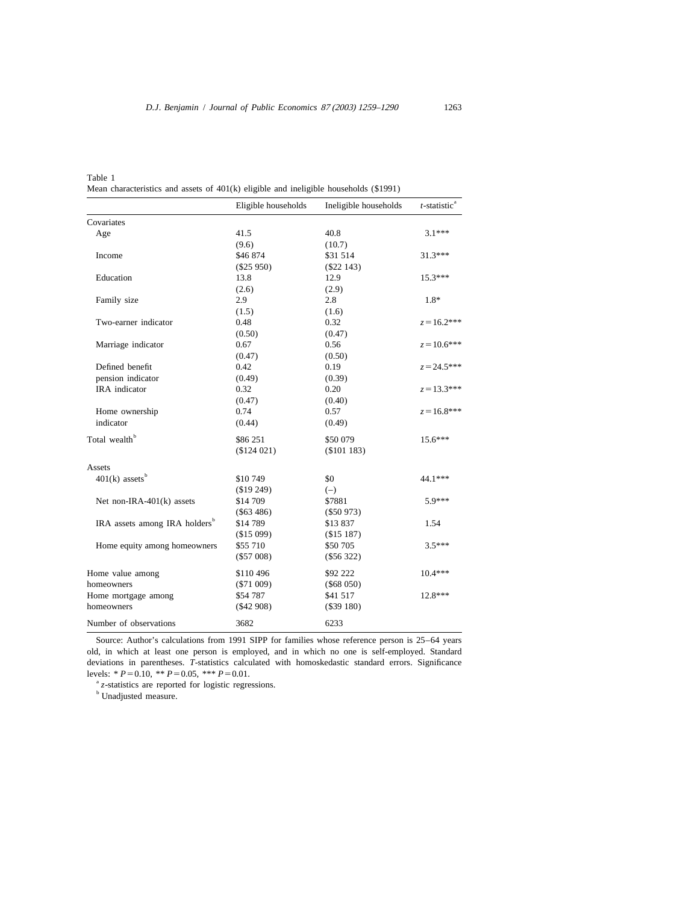|                                           | Eligible households | Ineligible households | $t$ -statistic <sup>a</sup> |
|-------------------------------------------|---------------------|-----------------------|-----------------------------|
| Covariates                                |                     |                       |                             |
| Age                                       | 41.5                | 40.8                  | $3.1***$                    |
|                                           | (9.6)               | (10.7)                |                             |
| Income                                    | \$46 874            | \$31 514              | 31.3***                     |
|                                           | $(\$25950)$         | $(\$22143)$           |                             |
| Education                                 | 13.8                | 12.9                  | $15.3***$                   |
|                                           | (2.6)               | (2.9)                 |                             |
| Family size                               | 2.9                 | 2.8                   | $1.8*$                      |
|                                           | (1.5)               | (1.6)                 |                             |
| Two-earner indicator                      | 0.48                | 0.32                  | $z = 16.2$ ***              |
|                                           | (0.50)              | (0.47)                |                             |
| Marriage indicator                        | 0.67                | 0.56                  | $z = 10.6$ ***              |
|                                           | (0.47)              | (0.50)                |                             |
| Defined benefit                           | 0.42                | 0.19                  | $z = 24.5***$               |
| pension indicator                         | (0.49)              | (0.39)                |                             |
| IRA indicator                             | 0.32                | 0.20                  | $z = 13.3***$               |
|                                           | (0.47)              | (0.40)                |                             |
| Home ownership                            | 0.74                | 0.57                  | $z = 16.8$ ***              |
| indicator                                 | (0.44)              | (0.49)                |                             |
| Total wealth <sup>b</sup>                 | \$86 251            | \$50 079              | $15.6***$                   |
|                                           | (\$124021)          | (\$101 183)           |                             |
| Assets                                    |                     |                       |                             |
| $401(k)$ assets <sup>b</sup>              | \$10749             | \$0                   | 44.1***                     |
|                                           | (\$19 249)          | $(-)$                 |                             |
| Net non-IRA- $401(k)$ assets              | \$14 709            | \$7881                | $5.9***$                    |
|                                           | (\$63, 486)         | (\$50973)             |                             |
| IRA assets among IRA holders <sup>b</sup> | \$14789             | \$13837               | 1.54                        |
|                                           | (\$15099)           | (\$15 187)            |                             |
| Home equity among homeowners              | \$55 710            | \$50 705              | $3.5***$                    |
|                                           | $(\$57008)$         | $(\$56322)$           |                             |
| Home value among                          | \$110496            | \$92 222              | $10.4***$                   |
| homeowners                                | $(\$71009)$         | (\$68 050)            |                             |
| Home mortgage among                       | \$54 787            | \$41 517              | $12.8***$                   |
| homeowners                                | $(\$42908)$         | $(\$39180)$           |                             |
| Number of observations                    | 3682                | 6233                  |                             |

Table 1 Mean characteristics and assets of 401(k) eligible and ineligible households (\$1991)

Source: Author's calculations from 1991 SIPP for families whose reference person is 25–64 years old, in which at least one person is employed, and in which no one is self-employed. Standard deviations in parentheses. *T*-statistics calculated with homoskedastic standard errors. Significance levels:  $* P=0.10, ** P=0.05, *** P=0.01.$ 

<sup>a</sup> *z*-statistics are reported for logistic regressions.

**b** Unadjusted measure.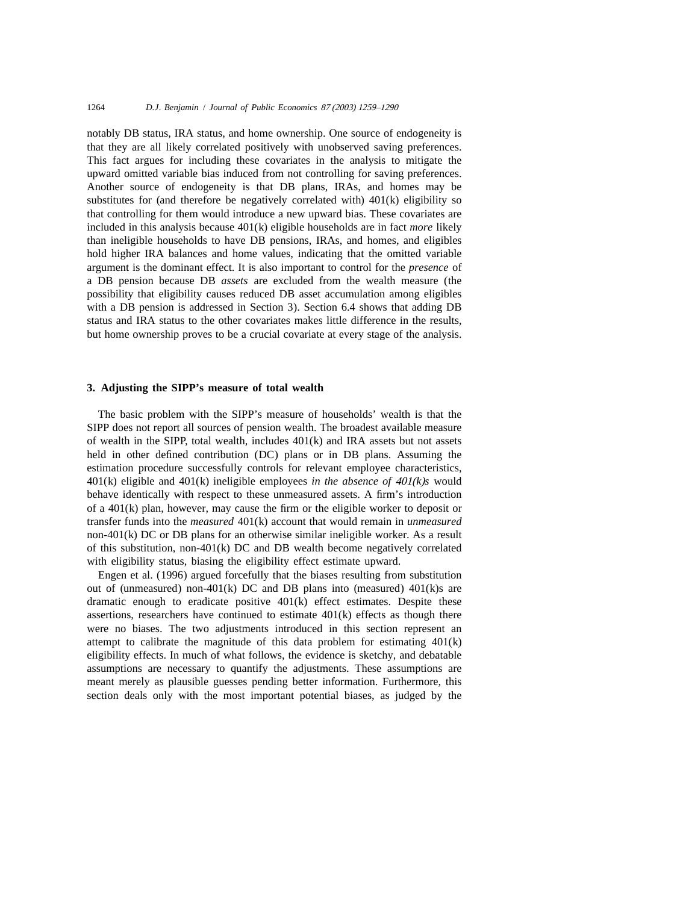notably DB status, IRA status, and home ownership. One source of endogeneity is that they are all likely correlated positively with unobserved saving preferences. This fact argues for including these covariates in the analysis to mitigate the upward omitted variable bias induced from not controlling for saving preferences. Another source of endogeneity is that DB plans, IRAs, and homes may be substitutes for (and therefore be negatively correlated with)  $401(k)$  eligibility so that controlling for them would introduce a new upward bias. These covariates are included in this analysis because 401(k) eligible households are in fact *more* likely than ineligible households to have DB pensions, IRAs, and homes, and eligibles hold higher IRA balances and home values, indicating that the omitted variable argument is the dominant effect. It is also important to control for the *presence* of a DB pension because DB *assets* are excluded from the wealth measure (the possibility that eligibility causes reduced DB asset accumulation among eligibles with a DB pension is addressed in Section 3). Section 6.4 shows that adding DB status and IRA status to the other covariates makes little difference in the results, but home ownership proves to be a crucial covariate at every stage of the analysis.

### **3. Adjusting the SIPP's measure of total wealth**

The basic problem with the SIPP's measure of households' wealth is that the SIPP does not report all sources of pension wealth. The broadest available measure of wealth in the SIPP, total wealth, includes  $401(k)$  and IRA assets but not assets held in other defined contribution (DC) plans or in DB plans. Assuming the estimation procedure successfully controls for relevant employee characteristics, 401(k) eligible and 401(k) ineligible employees *in the absence of* 401(*k*)*s* would behave identically with respect to these unmeasured assets. A firm's introduction of a  $401(k)$  plan, however, may cause the firm or the eligible worker to deposit or transfer funds into the *measured* 401(k) account that would remain in *unmeasured* non-401(k) DC or DB plans for an otherwise similar ineligible worker. As a result of this substitution, non-401 $(k)$  DC and DB wealth become negatively correlated with eligibility status, biasing the eligibility effect estimate upward.

Engen et al. (1996) argued forcefully that the biases resulting from substitution out of (unmeasured) non-401(k) DC and DB plans into (measured)  $401(k)$ s are dramatic enough to eradicate positive 401(k) effect estimates. Despite these assertions, researchers have continued to estimate 401(k) effects as though there were no biases. The two adjustments introduced in this section represent an attempt to calibrate the magnitude of this data problem for estimating 401(k) eligibility effects. In much of what follows, the evidence is sketchy, and debatable assumptions are necessary to quantify the adjustments. These assumptions are meant merely as plausible guesses pending better information. Furthermore, this section deals only with the most important potential biases, as judged by the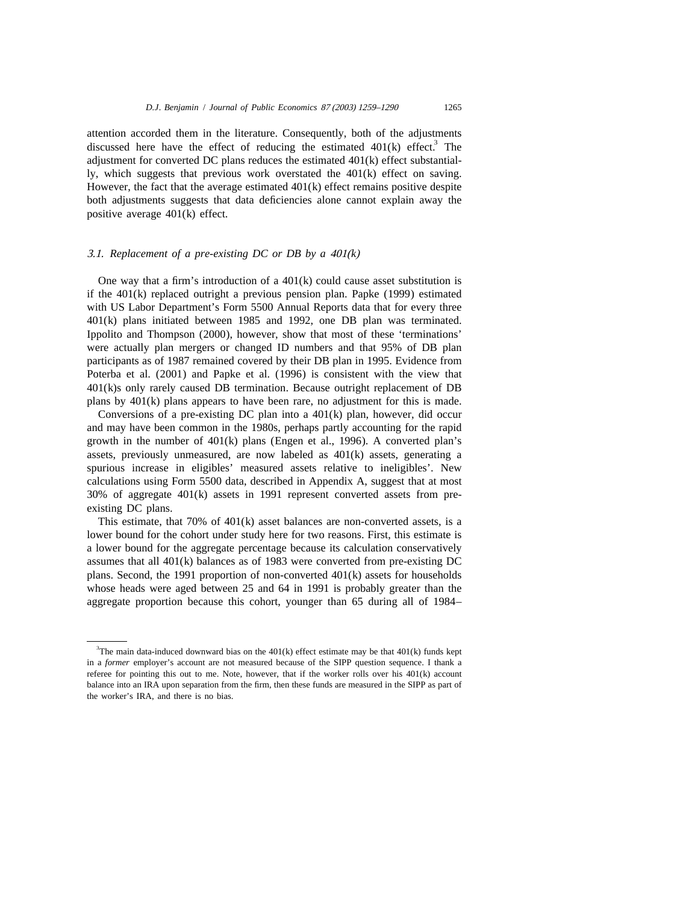attention accorded them in the literature. Consequently, both of the adjustments discussed here have the effect of reducing the estimated  $401(k)$  effect.<sup>3</sup> The adjustment for converted DC plans reduces the estimated 401(k) effect substantially, which suggests that previous work overstated the 401(k) effect on saving. However, the fact that the average estimated  $401(k)$  effect remains positive despite both adjustments suggests that data deficiencies alone cannot explain away the positive average 401(k) effect.

### 3.1. *Replacement of a pre*-*existing DC or DB by a* 401(*k*)

One way that a firm's introduction of a  $401(k)$  could cause asset substitution is if the 401(k) replaced outright a previous pension plan. Papke (1999) estimated with US Labor Department's Form 5500 Annual Reports data that for every three 401(k) plans initiated between 1985 and 1992, one DB plan was terminated. Ippolito and Thompson (2000), however, show that most of these 'terminations' were actually plan mergers or changed ID numbers and that 95% of DB plan participants as of 1987 remained covered by their DB plan in 1995. Evidence from Poterba et al. (2001) and Papke et al. (1996) is consistent with the view that 401(k)s only rarely caused DB termination. Because outright replacement of DB plans by 401(k) plans appears to have been rare, no adjustment for this is made.

Conversions of a pre-existing DC plan into a  $401(k)$  plan, however, did occur and may have been common in the 1980s, perhaps partly accounting for the rapid growth in the number of 401(k) plans (Engen et al., 1996). A converted plan's assets, previously unmeasured, are now labeled as  $401(k)$  assets, generating a spurious increase in eligibles' measured assets relative to ineligibles'. New calculations using Form 5500 data, described in Appendix A, suggest that at most 30% of aggregate 401(k) assets in 1991 represent converted assets from preexisting DC plans.

This estimate, that 70% of 401(k) asset balances are non-converted assets, is a lower bound for the cohort under study here for two reasons. First, this estimate is a lower bound for the aggregate percentage because its calculation conservatively assumes that all  $401(k)$  balances as of 1983 were converted from pre-existing DC plans. Second, the 1991 proportion of non-converted 401(k) assets for households whose heads were aged between 25 and 64 in 1991 is probably greater than the aggregate proportion because this cohort, younger than 65 during all of 1984–

<sup>&</sup>lt;sup>3</sup>The main data-induced downward bias on the  $401(k)$  effect estimate may be that  $401(k)$  funds kept in a *former* employer's account are not measured because of the SIPP question sequence. I thank a referee for pointing this out to me. Note, however, that if the worker rolls over his 401(k) account balance into an IRA upon separation from the firm, then these funds are measured in the SIPP as part of the worker's IRA, and there is no bias.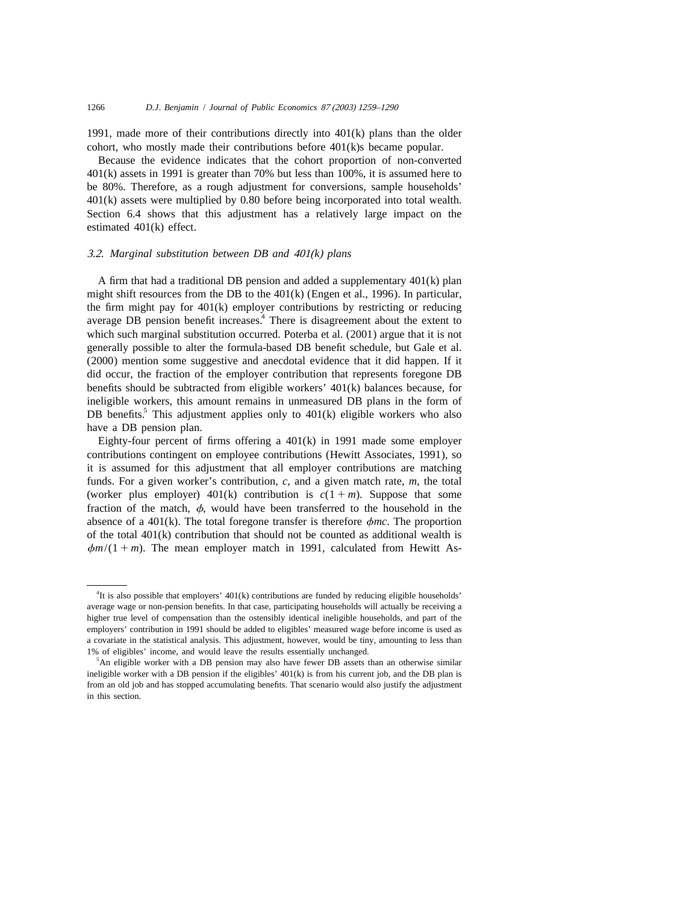1991, made more of their contributions directly into 401(k) plans than the older cohort, who mostly made their contributions before 401(k)s became popular.

Because the evidence indicates that the cohort proportion of non-converted 401(k) assets in 1991 is greater than 70% but less than 100%, it is assumed here to be 80%. Therefore, as a rough adjustment for conversions, sample households' 401(k) assets were multiplied by 0.80 before being incorporated into total wealth. Section 6.4 shows that this adjustment has a relatively large impact on the estimated 401(k) effect.

### 3.2. *Marginal substitution between DB and* 401(*k*) *plans*

A firm that had a traditional DB pension and added a supplementary 401(k) plan might shift resources from the DB to the  $401(k)$  (Engen et al., 1996). In particular, the firm might pay for  $401(k)$  employer contributions by restricting or reducing average DB pension benefit increases.<sup>4</sup> There is disagreement about the extent to which such marginal substitution occurred. Poterba et al. (2001) argue that it is not generally possible to alter the formula-based DB benefit schedule, but Gale et al. (2000) mention some suggestive and anecdotal evidence that it did happen. If it did occur, the fraction of the employer contribution that represents foregone DB benefits should be subtracted from eligible workers' 401(k) balances because, for ineligible workers, this amount remains in unmeasured DB plans in the form of DB benefits.<sup>5</sup> This adjustment applies only to  $401(k)$  eligible workers who also have a DB pension plan.

Eighty-four percent of firms offering a  $401(k)$  in 1991 made some employer contributions contingent on employee contributions (Hewitt Associates, 1991), so it is assumed for this adjustment that all employer contributions are matching funds. For a given worker's contribution, *c*, and a given match rate, *m*, the total (worker plus employer)  $401(k)$  contribution is  $c(1 + m)$ . Suppose that some fraction of the match,  $\phi$ , would have been transferred to the household in the absence of a  $401(k)$ . The total foregone transfer is therefore  $\phi mc$ . The proportion of the total  $401(k)$  contribution that should not be counted as additional wealth is  $\phi m/(1 + m)$ . The mean employer match in 1991, calculated from Hewitt As-

<sup>&</sup>lt;sup>4</sup>It is also possible that employers'  $401(k)$  contributions are funded by reducing eligible households' average wage or non-pension benefits. In that case, participating households will actually be receiving a higher true level of compensation than the ostensibly identical ineligible households, and part of the employers' contribution in 1991 should be added to eligibles' measured wage before income is used as a covariate in the statistical analysis. This adjustment, however, would be tiny, amounting to less than 1% of eligibles' income, and would leave the results essentially unchanged.

<sup>&</sup>lt;sup>5</sup>An eligible worker with a DB pension may also have fewer DB assets than an otherwise similar ineligible worker with a DB pension if the eligibles' 401(k) is from his current job, and the DB plan is from an old job and has stopped accumulating benefits. That scenario would also justify the adjustment in this section.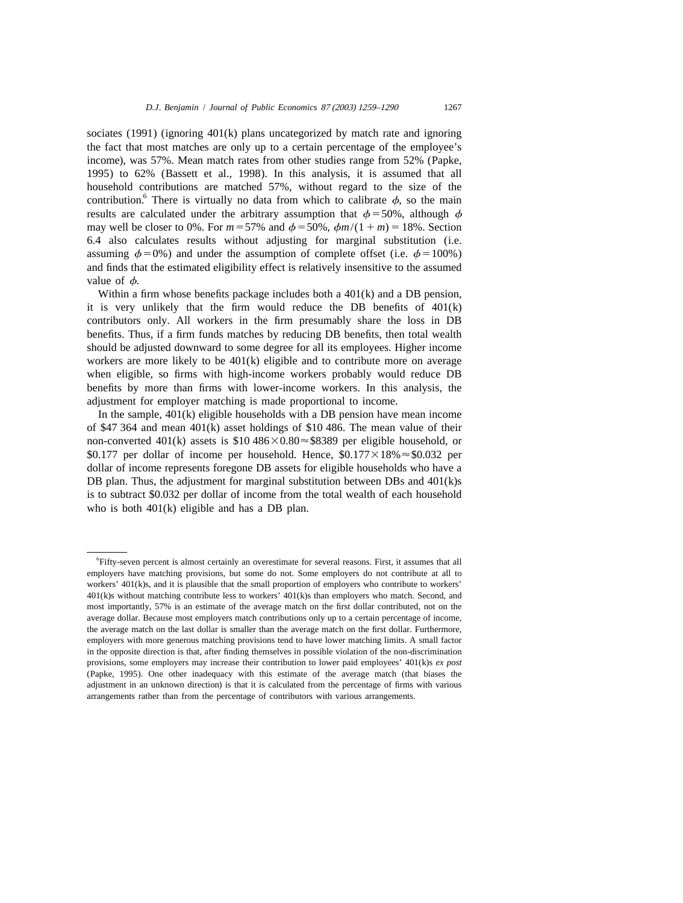sociates (1991) (ignoring 401(k) plans uncategorized by match rate and ignoring the fact that most matches are only up to a certain percentage of the employee's income), was 57%. Mean match rates from other studies range from 52% (Papke, 1995) to 62% (Bassett et al., 1998). In this analysis, it is assumed that all household contributions are matched 57%, without regard to the size of the contribution.<sup>6</sup> There is virtually no data from which to calibrate  $\phi$ , so the main results are calculated under the arbitrary assumption that  $\phi = 50\%$ , although  $\phi$ may well be closer to 0%. For  $m = 57\%$  and  $\phi = 50\%$ ,  $\phi m/(1 + m) = 18\%$ . Section 6.4 also calculates results without adjusting for marginal substitution (i.e. assuming  $\phi = 0\%$ ) and under the assumption of complete offset (i.e.  $\phi = 100\%$ ) and finds that the estimated eligibility effect is relatively insensitive to the assumed value of  $\phi$ .

Within a firm whose benefits package includes both a  $401(k)$  and a DB pension, it is very unlikely that the firm would reduce the DB benefits of  $401(k)$ contributors only. All workers in the firm presumably share the loss in DB benefits. Thus, if a firm funds matches by reducing DB benefits, then total wealth should be adjusted downward to some degree for all its employees. Higher income workers are more likely to be 401(k) eligible and to contribute more on average when eligible, so firms with high-income workers probably would reduce DB benefits by more than firms with lower-income workers. In this analysis, the adjustment for employer matching is made proportional to income.

In the sample, 401(k) eligible households with a DB pension have mean income of \$47 364 and mean  $401(k)$  asset holdings of \$10 486. The mean value of their non-converted 401(k) assets is \$10 486 $\times$ 0.80 $\approx$ \$8389 per eligible household, or \$0.177 per dollar of income per household. Hence,  $$0.177 \times 18\% \approx $0.032$  per dollar of income represents foregone DB assets for eligible households who have a DB plan. Thus, the adjustment for marginal substitution between DBs and  $401(k)s$ is to subtract \$0.032 per dollar of income from the total wealth of each household who is both  $401(k)$  eligible and has a DB plan.

<sup>6</sup> Fifty-seven percent is almost certainly an overestimate for several reasons. First, it assumes that all employers have matching provisions, but some do not. Some employers do not contribute at all to workers' 401(k)s, and it is plausible that the small proportion of employers who contribute to workers'  $401(k)$ s without matching contribute less to workers'  $401(k)$ s than employers who match. Second, and most importantly, 57% is an estimate of the average match on the first dollar contributed, not on the average dollar. Because most employers match contributions only up to a certain percentage of income, the average match on the last dollar is smaller than the average match on the first dollar. Furthermore, employers with more generous matching provisions tend to have lower matching limits. A small factor in the opposite direction is that, after finding themselves in possible violation of the non-discrimination provisions, some employers may increase their contribution to lower paid employees' 401(k)s *ex post* (Papke, 1995). One other inadequacy with this estimate of the average match (that biases the adjustment in an unknown direction) is that it is calculated from the percentage of firms with various arrangements rather than from the percentage of contributors with various arrangements.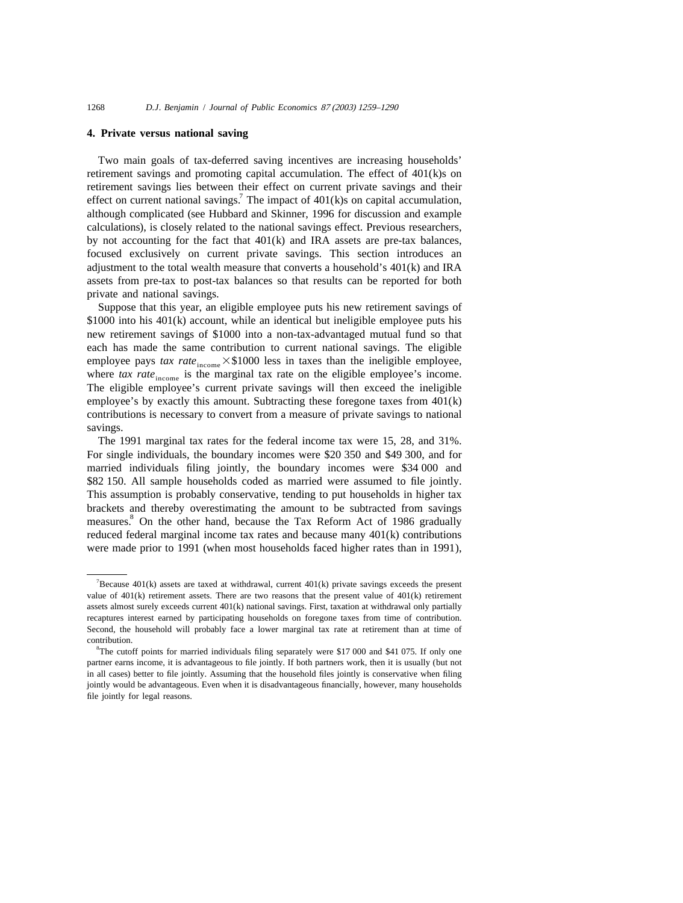### **4. Private versus national saving**

Two main goals of tax-deferred saving incentives are increasing households' retirement savings and promoting capital accumulation. The effect of  $401(k)$ s on retirement savings lies between their effect on current private savings and their effect on current national savings.<sup>7</sup> The impact of  $401(k)s$  on capital accumulation, although complicated (see Hubbard and Skinner, 1996 for discussion and example calculations), is closely related to the national savings effect. Previous researchers, by not accounting for the fact that  $401(k)$  and IRA assets are pre-tax balances, focused exclusively on current private savings. This section introduces an adjustment to the total wealth measure that converts a household's 401(k) and IRA assets from pre-tax to post-tax balances so that results can be reported for both private and national savings.

Suppose that this year, an eligible employee puts his new retirement savings of \$1000 into his 401(k) account, while an identical but ineligible employee puts his new retirement savings of \$1000 into a non-tax-advantaged mutual fund so that each has made the same contribution to current national savings. The eligible employee pays *tax rate*  $_{\text{income}} \times \$1000$  less in taxes than the ineligible employee, where  $tax\ rate$  is the marginal tax rate on the eligible employee's income. The eligible employee's current private savings will then exceed the ineligible employee's by exactly this amount. Subtracting these foregone taxes from  $401(k)$ contributions is necessary to convert from a measure of private savings to national savings.

The 1991 marginal tax rates for the federal income tax were 15, 28, and 31%. For single individuals, the boundary incomes were \$20 350 and \$49 300, and for married individuals filing jointly, the boundary incomes were \$34 000 and \$82 150. All sample households coded as married were assumed to file jointly. This assumption is probably conservative, tending to put households in higher tax brackets and thereby overestimating the amount to be subtracted from savings measures.<sup>8</sup> On the other hand, because the Tax Reform Act of 1986 gradually reduced federal marginal income tax rates and because many 401(k) contributions were made prior to 1991 (when most households faced higher rates than in 1991),

<sup>&</sup>lt;sup>7</sup>Because 401(k) assets are taxed at withdrawal, current 401(k) private savings exceeds the present value of  $401(k)$  retirement assets. There are two reasons that the present value of  $401(k)$  retirement assets almost surely exceeds current 401(k) national savings. First, taxation at withdrawal only partially recaptures interest earned by participating households on foregone taxes from time of contribution. Second, the household will probably face a lower marginal tax rate at retirement than at time of contribution.

<sup>&</sup>lt;sup>8</sup>The cutoff points for married individuals filing separately were \$17 000 and \$41 075. If only one partner earns income, it is advantageous to file jointly. If both partners work, then it is usually (but not in all cases) better to file jointly. Assuming that the household files jointly is conservative when filing jointly would be advantageous. Even when it is disadvantageous financially, however, many households file jointly for legal reasons.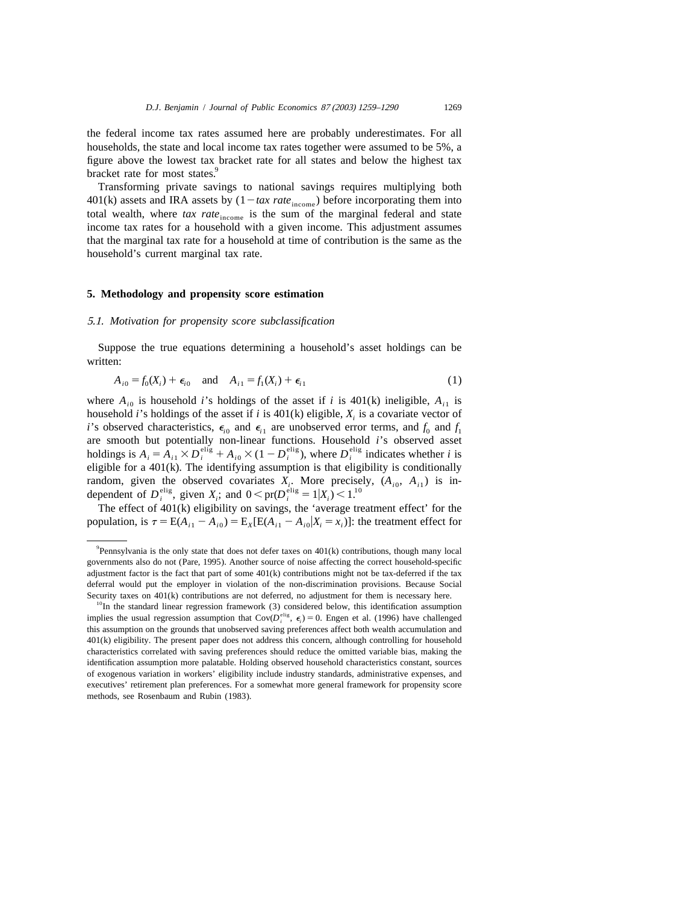the federal income tax rates assumed here are probably underestimates. For all households, the state and local income tax rates together were assumed to be 5%, a figure above the lowest tax bracket rate for all states and below the highest tax bracket rate for most states.<sup>9</sup>

Transforming private savings to national savings requires multiplying both 401(k) assets and IRA assets by  $(1 - tax \ rate_{income})$  before incorporating them into total wealth, where *tax rate* is the sum of the marginal federal and state income tax rates for a household with a given income. This adjustment assumes that the marginal tax rate for a household at time of contribution is the same as the household's current marginal tax rate.

### **5. Methodology and propensity score estimation**

### 5.1. *Motivation for propensity score subclassification*

Suppose the true equations determining a household's asset holdings can be written:

$$
A_{i0} = f_0(X_i) + \epsilon_{i0} \quad \text{and} \quad A_{i1} = f_1(X_i) + \epsilon_{i1}
$$
 (1)

where  $A_{i0}$  is household *i*'s holdings of the asset if *i* is 401(k) ineligible,  $A_{i1}$  is household *i*'s holdings of the asset if *i* is 401(k) eligible,  $X_i$  is a covariate vector of *i*'s observed characteristics,  $\epsilon_{i0}$  and  $\epsilon_{i1}$  are unobserved error terms, and  $f_0$  and  $f_1$ are smooth but potentially non-linear functions. Household *i*'s observed asset holdings is  $A_i = A_{i1} \times D_i^{\text{elig}} + A_{i0} \times (1 - D_i^{\text{elig}})$ , where  $D_i^{\text{elig}}$  indicates whether *i* is eligible for a 401(k). The identifying assumption is that eligibility is conditionally random, given the observed covariates  $X_i$ . More precisely,  $(A_{i0}, A_{i1})$  is independent of  $D_i^{\text{elig}}$ , given  $X_i$ ; and  $0 < \text{pr}(D_i^{\text{elig}} = 1 | X_i) < 1.1$ <sup>0</sup>

The effect of 401(k) eligibility on savings, the 'average treatment effect' for the population, is  $\tau = E(A_{i1} - A_{i0}) = E_{\chi}[E(A_{i1} - A_{i0} | X_i = x_i)]$ : the treatment effect for

<sup>&</sup>lt;sup>9</sup>Pennsylvania is the only state that does not defer taxes on 401(k) contributions, though many local governments also do not (Pare, 1995). Another source of noise affecting the correct household-specific adjustment factor is the fact that part of some  $401(k)$  contributions might not be tax-deferred if the tax deferral would put the employer in violation of the non-discrimination provisions. Because Social Security taxes on 401(k) contributions are not deferred, no adjustment for them is necessary here.

 $10$ In the standard linear regression framework (3) considered below, this identification assumption implies the usual regression assumption that  $Cov(D_i^{\text{elig}}, \epsilon_i) = 0$ . Engen et al. (1996) have challenged this assumption on the grounds that unobserved saving preferences affect both wealth accumulation and 401(k) eligibility. The present paper does not address this concern, although controlling for household characteristics correlated with saving preferences should reduce the omitted variable bias, making the identification assumption more palatable. Holding observed household characteristics constant, sources of exogenous variation in workers' eligibility include industry standards, administrative expenses, and executives' retirement plan preferences. For a somewhat more general framework for propensity score methods, see Rosenbaum and Rubin (1983).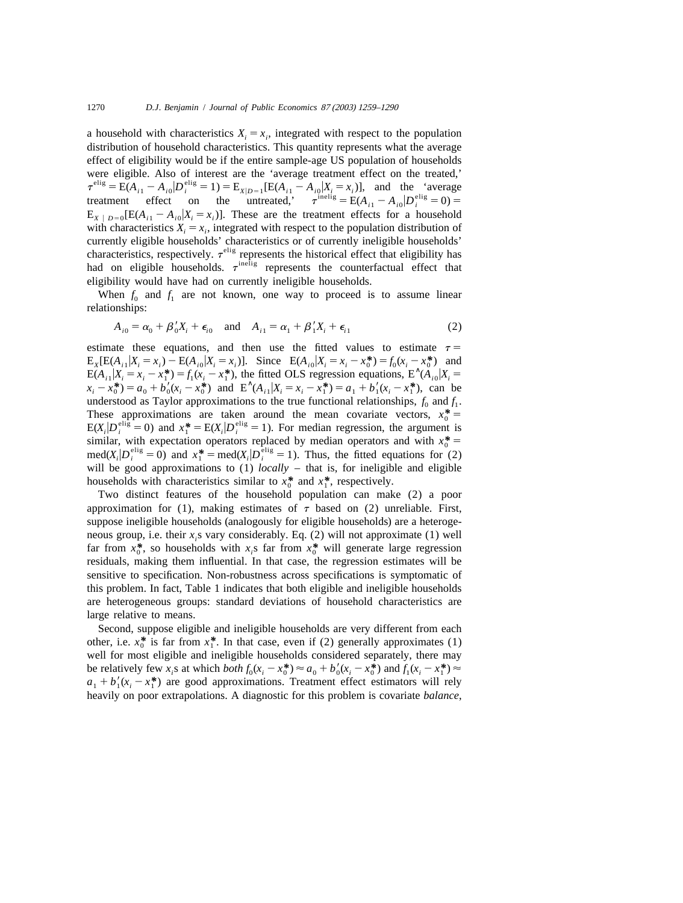a household with characteristics  $X_i = x_i$ , integrated with respect to the population distribution of household characteristics. This quantity represents what the average effect of eligibility would be if the entire sample-age US population of households were eligible. Also of interest are the 'average treatment effect on the treated,'  $\tau^{\text{elig}} = E(A_{i1} - A_{i0} | D_i^{\text{elig}} = 1) = E_{X|D=1} [E(A_{i1} - A_{i0} | X_i = x_i)],$  and the 'average treatment effect on the untreated,'  $\tau^{\text{inelig}} = E(A_{i1} - A_{i0} | D_i^{\text{elig}} = 0) =$  $E_{X|D=0} [E(A_{i1} - A_{i0} | X_i = x_i)]$ . These are the treatment effects for a household with characteristics  $X_i = x_i$ , integrated with respect to the population distribution of currently eligible households' characteristics or of currently ineligible households' characteristics, respectively.  $\tau^{\text{elig}}$  represents the historical effect that eligibility has had on eligible households.  $\tau^{\text{ine} \bar{\text{li}} g}$  represents the counterfactual effect that eligibility would have had on currently ineligible households.

When  $f_0$  and  $f_1$  are not known, one way to proceed is to assume linear relationships:

$$
A_{i0} = \alpha_0 + \beta'_0 X_i + \epsilon_{i0} \quad \text{and} \quad A_{i1} = \alpha_1 + \beta'_1 X_i + \epsilon_{i1} \tag{2}
$$

estimate these equations, and then use the fitted values to estimate  $\tau =$  $E_X[E(A_{i1}|X_i = x_i) - E(A_{i0}|X_i = x_i)]$ . Since  $E(A_{i0}|X_i = x_i - x_0^*) = f_0(x_i - x_0^*)$  and  $E(A_{i1}|X_i = x_i - x_1^*) = f_1(x_i - x_1^*)$ , the fitted OLS regression equations,  $E^{\wedge}(A_{i0}|X_i = x_i - x_0^*) = a_0 + b'_0(x_i - x_0^*)$  and  $E^{\wedge}(A_{i1}|X_i = x_i - x_1^*) = a_1 + b'_1(x_i$ understood as Taylor approximations to the true functional relationships,  $f_0$  and  $f_1$ . These approximations are taken around the mean covariate vectors,  $x_0^* = E(X_i|D_i^{elig} = 0)$  and  $x_1^* = E(X_i|D_i^{elig} = 1)$ . For median regression, the argument is similar, with expectation operators replaced by median operators  $\text{med}(X_i|D_i^{\text{elig}}=0)$  and  $x_1^*=\text{med}(X_i|D_i^{\text{elig}}=1)$ . Thus, the fitted equations for (2) will be good approximations to (1) *locally* – that is, for ineligible and eligible households with characteristics similar to  $x_0^*$  and  $x_1^*$ , respectively.

Two distinct features of the household population can make (2) a poor approximation for (1), making estimates of  $\tau$  based on (2) unreliable. First, suppose ineligible households (analogously for eligible households) are a heterogeneous group, i.e. their  $x_i$  vary considerably. Eq. (2) will not approximate (1) well far from  $x_0^*$ , so households with  $x_i$ s far from  $x_0^*$  will generate large regression residuals, making them influential. In that case, the regression estimates will be sensitive to specification. Non-robustness across specifications is symptomatic of this problem. In fact, Table 1 indicates that both eligible and ineligible households are heterogeneous groups: standard deviations of household characteristics are large relative to means.

Second, suppose eligible and ineligible households are very different from each other, i.e.  $x_0^*$  is far from  $x_1^*$ . In that case, even if (2) generally approximates (1) well for most eligible and ineligible households considered separately, there may be relatively few  $x_i$  s at which *both*  $f_0(x_i - x_0^*) \approx a_0 + b'_0(x_i - x_0^*)$  and  $f_1(x_i - x_1^*) \approx a_0$  $a_1 + b_1'(x_i - x_1^*)$  are good approximations. Treatment effect estimators will rely heavily on poor extrapolations. A diagnostic for this problem is covariate *balance*,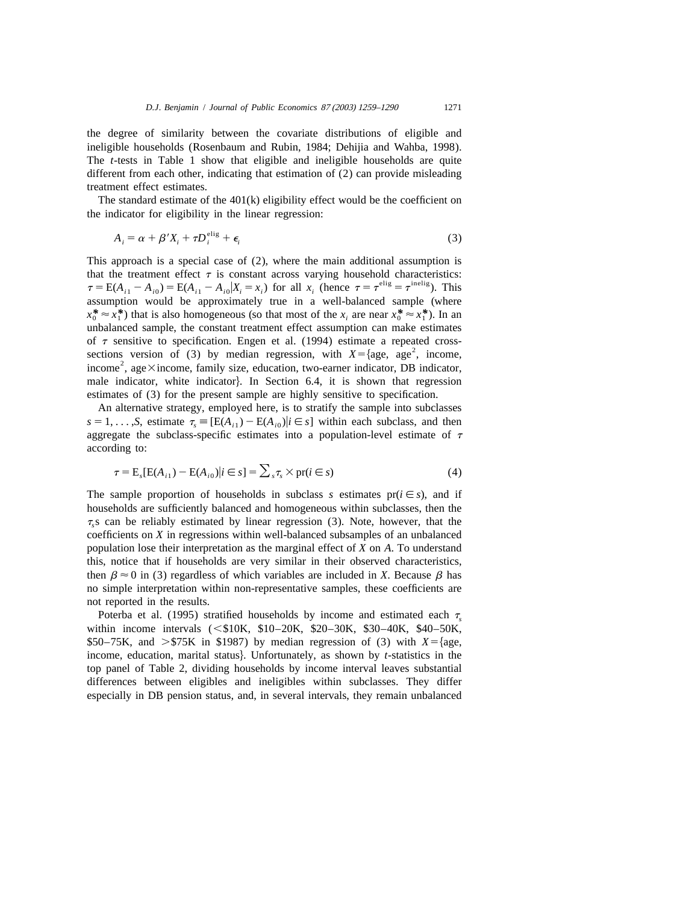the degree of similarity between the covariate distributions of eligible and ineligible households (Rosenbaum and Rubin, 1984; Dehijia and Wahba, 1998). The *t*-tests in Table 1 show that eligible and ineligible households are quite different from each other, indicating that estimation of (2) can provide misleading treatment effect estimates.

The standard estimate of the  $401(k)$  eligibility effect would be the coefficient on the indicator for eligibility in the linear regression:

$$
A_i = \alpha + \beta' X_i + \tau D_i^{\text{elig}} + \epsilon_i \tag{3}
$$

This approach is a special case of  $(2)$ , where the main additional assumption is that the treatment effect  $\tau$  is constant across varying household characteristics:  $\tau = E(A_{i1} - A_{i0}) = E(A_{i1} - A_{i0} | X_i = x_i)$  for all  $x_i$  (hence  $\tau = \tau^{\text{elig}} = \tau^{\text{inelig}}$ ). This assumption would be approximately true in a well-balanced sample (where  $x_0^* \approx x_1^*$ ) that is also homogeneous (so that most of the *x<sub>i</sub>* are near  $x_0^* \approx x_1^*$ ). In an unbalanced sample, the constant treatment effect assumption can make estimates of  $\tau$  sensitive to specification. Engen et al. (1994) estimate a repeated cross-<br>sections version of (3) by median regression, with  $X = \{\text{age, age}^2, \text{ income}, \text{income}, \text{income}, \text{family size}, \text{ education}, \text{two-earner indicator}, \text{DB indicator}, \text{and} \text{right}}$ male indicator, white indicator. In Section 6.4, it is shown that regression estimates of (3) for the present sample are highly sensitive to specification.

An alternative strategy, employed here, is to stratify the sample into subclasses  $s = 1, \ldots, S$ , estimate  $\tau_s \equiv [E(A_{i1}) - E(A_{i0}) | i \in s]$  within each subclass, and then aggregate the subclass-specific estimates into a population-level estimate of  $\tau$ according to:

$$
\tau = \mathcal{E}_s[\mathcal{E}(A_{i1}) - \mathcal{E}(A_{i0}) | i \in s] = \sum_{s} \tau_s \times \text{pr}(i \in s)
$$
(4)

The sample proportion of households in subclass *s* estimates  $pr(i \in s)$ , and if households are sufficiently balanced and homogeneous within subclasses, then the  $\tau$ <sub>s</sub> can be reliably estimated by linear regression (3). Note, however, that the coefficients on *X* in regressions within well-balanced subsamples of an unbalanced population lose their interpretation as the marginal effect of *X* on *A*. To understand this, notice that if households are very similar in their observed characteristics, then  $\beta \approx 0$  in (3) regardless of which variables are included in *X*. Because  $\beta$  has no simple interpretation within non-representative samples, these coefficients are not reported in the results.

Poterba et al. (1995) stratified households by income and estimated each  $\tau$ , within income intervals  $(<\$10K, \$10-20K, \$20-30K, \$30-40K, \$40-50K,$ \$50–75K, and  $>$ \$75K in \$1987) by median regression of (3) with  $X = \{age,$ income, education, marital status}. Unfortunately, as shown by *t*-statistics in the top panel of Table 2, dividing households by income interval leaves substantial differences between eligibles and ineligibles within subclasses. They differ especially in DB pension status, and, in several intervals, they remain unbalanced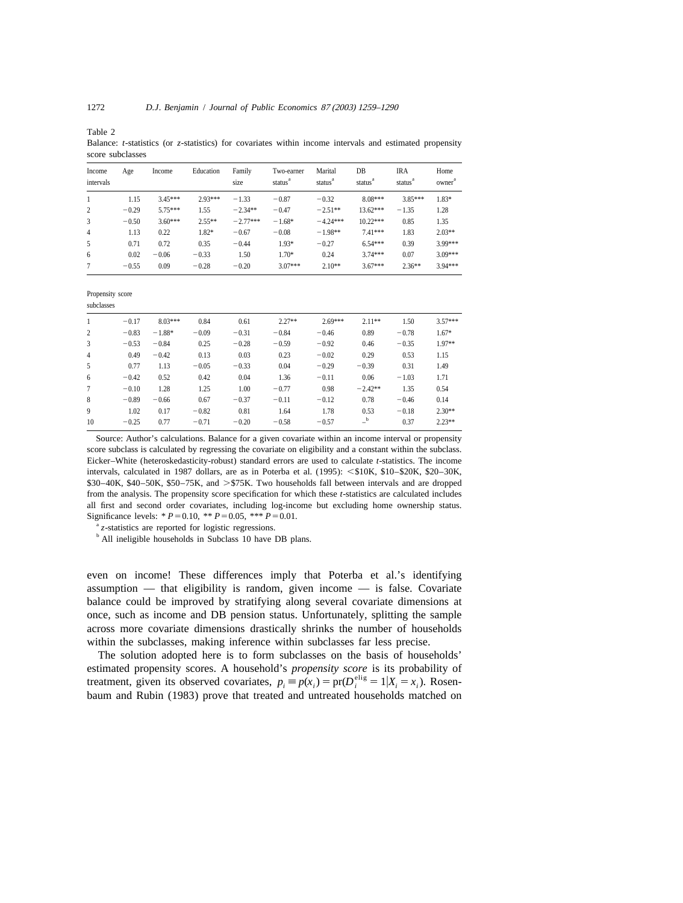Table 2

Balance: *t*-statistics (or *z*-statistics) for covariates within income intervals and estimated propensity score subclasses

| Income<br>intervals | Age     | Income    | Education | Family<br>size | Two-earner<br>status <sup>a</sup> | Marital<br>status <sup>a</sup> | DB<br>status <sup>a</sup> | <b>IRA</b><br>status <sup>a</sup> | Home<br>owner <sup>a</sup> |
|---------------------|---------|-----------|-----------|----------------|-----------------------------------|--------------------------------|---------------------------|-----------------------------------|----------------------------|
| $\mathbf{1}$        | 1.15    | $3.45***$ | $2.93***$ | $-1.33$        | $-0.87$                           | $-0.32$                        | $8.08***$                 | 3.85***                           | $1.83*$                    |
| $\overline{2}$      | $-0.29$ | $5.75***$ | 1.55      | $-2.34**$      | $-0.47$                           | $-2.51**$                      | $13.62***$                | $-1.35$                           | 1.28                       |
| 3                   | $-0.50$ | $3.60***$ | $2.55**$  | $-2.77***$     | $-1.68*$                          | $-4.24***$                     | $10.22***$                | 0.85                              | 1.35                       |
| $\overline{4}$      | 1.13    | 0.22      | $1.82*$   | $-0.67$        | $-0.08$                           | $-1.98**$                      | $7.41***$                 | 1.83                              | $2.03**$                   |
| 5                   | 0.71    | 0.72      | 0.35      | $-0.44$        | $1.93*$                           | $-0.27$                        | $6.54***$                 | 0.39                              | 3 99***                    |
| 6                   | 0.02    | $-0.06$   | $-0.33$   | 1.50           | $1.70*$                           | 0.24                           | $3.74***$                 | 0.07                              | $3.09***$                  |
| 7                   | $-0.55$ | 0.09      | $-0.28$   | $-0.20$        | $3.07***$                         | $2.10**$                       | $3.67***$                 | $2.36**$                          | $3.94***$                  |

| Propensity score |  |
|------------------|--|
|------------------|--|

subclasses

| 1              | $-0.17$ | $8.03***$ | 0.84    | 0.61    | $2.27**$ | $2.69***$ | $2.11**$  | 1.50    | $3.57***$ |
|----------------|---------|-----------|---------|---------|----------|-----------|-----------|---------|-----------|
| 2              | $-0.83$ | $-1.88*$  | $-0.09$ | $-0.31$ | $-0.84$  | $-0.46$   | 0.89      | $-0.78$ | $1.67*$   |
| 3              | $-0.53$ | $-0.84$   | 0.25    | $-0.28$ | $-0.59$  | $-0.92$   | 0.46      | $-0.35$ | 1.97**    |
| $\overline{4}$ | 0.49    | $-0.42$   | 0.13    | 0.03    | 0.23     | $-0.02$   | 0.29      | 0.53    | 1.15      |
| 5              | 0.77    | 1.13      | $-0.05$ | $-0.33$ | 0.04     | $-0.29$   | $-0.39$   | 0.31    | 1.49      |
| 6              | $-0.42$ | 0.52      | 0.42    | 0.04    | 1.36     | $-0.11$   | 0.06      | $-1.03$ | 1.71      |
| 7              | $-0.10$ | 1.28      | 1.25    | 1.00    | $-0.77$  | 0.98      | $-2.42**$ | 1.35    | 0.54      |
| 8              | $-0.89$ | $-0.66$   | 0.67    | $-0.37$ | $-0.11$  | $-0.12$   | 0.78      | $-0.46$ | 0.14      |
| 9              | 1.02    | 0.17      | $-0.82$ | 0.81    | 1.64     | 1.78      | 0.53      | $-0.18$ | $2.30**$  |
| 10             | $-0.25$ | 0.77      | $-0.71$ | $-0.20$ | $-0.58$  | $-0.57$   | $-$ b     | 0.37    | $2.23**$  |
|                |         |           |         |         |          |           |           |         |           |

Source: Author's calculations. Balance for a given covariate within an income interval or propensity score subclass is calculated by regressing the covariate on eligibility and a constant within the subclass. Eicker–White (heteroskedasticity-robust) standard errors are used to calculate *t*-statistics. The income intervals, calculated in 1987 dollars, are as in Poterba et al. (1995):  $\leq$ \$10K, \$10–\$20K, \$20–30K,  $$30-40K, $40-50K, $50-75K, and $>$75K$. Two households fall between intervals and are dropped$ from the analysis. The propensity score specification for which these *t*-statistics are calculated includes all first and second order covariates, including log-income but excluding home ownership status. Significance levels: \*  $P = 0.10$ , \*\*  $P = 0.05$ , \*\*\*  $P = 0.01$ .

<sup>a</sup> *z*-statistics are reported for logistic regressions.

<sup>b</sup> All ineligible households in Subclass 10 have DB plans.

even on income! These differences imply that Poterba et al.'s identifying assumption — that eligibility is random, given income — is false. Covariate balance could be improved by stratifying along several covariate dimensions at once, such as income and DB pension status. Unfortunately, splitting the sample across more covariate dimensions drastically shrinks the number of households within the subclasses, making inference within subclasses far less precise.

The solution adopted here is to form subclasses on the basis of households' estimated propensity scores. A household's *propensity score* is its probability of treatment, given its observed covariates,  $p_i \equiv p(x_i) = p(D_i^{\text{elig}} = 1 | X_i = x_i)$ . Rosenbaum and Rubin (1983) prove that treated and untreated households matched on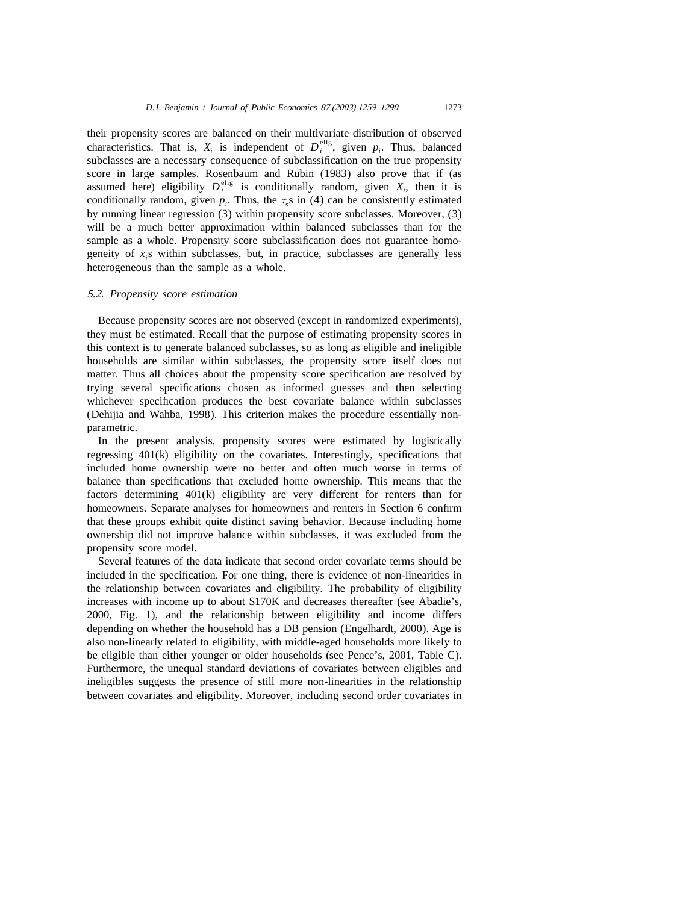their propensity scores are balanced on their multivariate distribution of observed characteristics. That is,  $X_i$  is independent of  $D_i^{\text{elig}}$ , given  $p_i$ . Thus, balanced subclasses are a necessary consequence of subclassification on the true propensity score in large samples. Rosenbaum and Rubin (1983) also prove that if (as assumed here) eligibility  $D_i^{\text{elig}}$  is conditionally random, given  $X_i$ , then it is conditionally random, given  $p_i$ . Thus, the  $\tau$ <sub>s</sub> in (4) can be consistently estimated by running linear regression (3) within propensity score subclasses. Moreover, (3) will be a much better approximation within balanced subclasses than for the sample as a whole. Propensity score subclassification does not guarantee homogeneity of *x* s within subclasses, but, in practice, subclasses are generally less *<sup>i</sup>* heterogeneous than the sample as a whole.

#### 5.2. *Propensity score estimation*

Because propensity scores are not observed (except in randomized experiments), they must be estimated. Recall that the purpose of estimating propensity scores in this context is to generate balanced subclasses, so as long as eligible and ineligible households are similar within subclasses, the propensity score itself does not matter. Thus all choices about the propensity score specification are resolved by trying several specifications chosen as informed guesses and then selecting whichever specification produces the best covariate balance within subclasses (Dehijia and Wahba, 1998). This criterion makes the procedure essentially nonparametric.

In the present analysis, propensity scores were estimated by logistically regressing 401(k) eligibility on the covariates. Interestingly, specifications that included home ownership were no better and often much worse in terms of balance than specifications that excluded home ownership. This means that the factors determining 401(k) eligibility are very different for renters than for homeowners. Separate analyses for homeowners and renters in Section 6 confirm that these groups exhibit quite distinct saving behavior. Because including home ownership did not improve balance within subclasses, it was excluded from the propensity score model.

Several features of the data indicate that second order covariate terms should be included in the specification. For one thing, there is evidence of non-linearities in the relationship between covariates and eligibility. The probability of eligibility increases with income up to about \$170K and decreases thereafter (see Abadie's, 2000, Fig. 1), and the relationship between eligibility and income differs depending on whether the household has a DB pension (Engelhardt, 2000). Age is also non-linearly related to eligibility, with middle-aged households more likely to be eligible than either younger or older households (see Pence's, 2001, Table C). Furthermore, the unequal standard deviations of covariates between eligibles and ineligibles suggests the presence of still more non-linearities in the relationship between covariates and eligibility. Moreover, including second order covariates in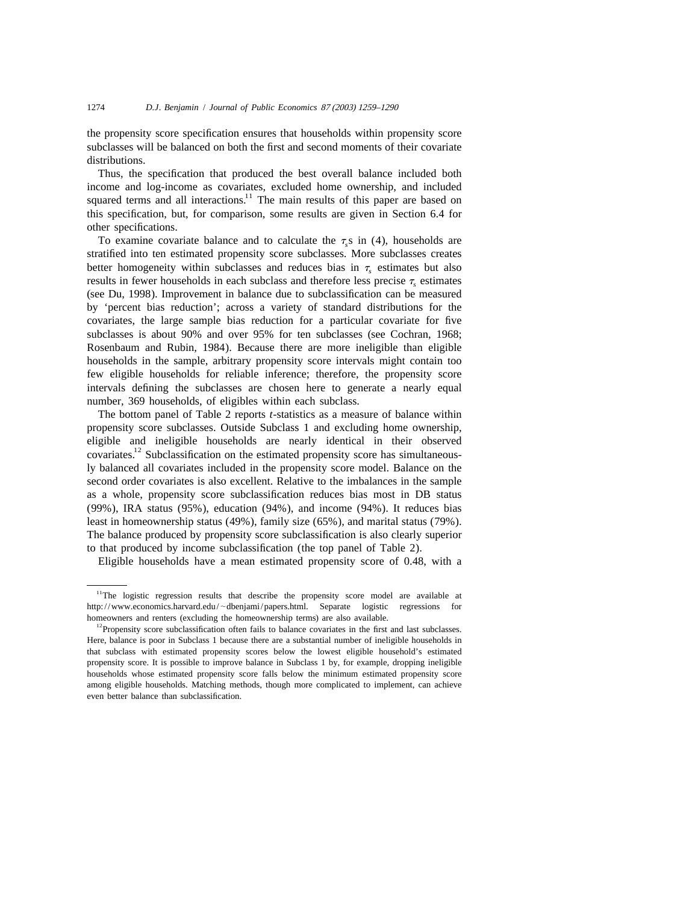the propensity score specification ensures that households within propensity score subclasses will be balanced on both the first and second moments of their covariate distributions.

Thus, the specification that produced the best overall balance included both income and log-income as covariates, excluded home ownership, and included squared terms and all interactions.<sup>11</sup> The main results of this paper are based on this specification, but, for comparison, some results are given in Section 6.4 for other specifications.

To examine covariate balance and to calculate the  $\tau$  s in (4), households are stratified into ten estimated propensity score subclasses. More subclasses creates better homogeneity within subclasses and reduces bias in  $\tau<sub>s</sub>$  estimates but also results in fewer households in each subclass and therefore less precise  $\tau$  estimates (see Du, 1998). Improvement in balance due to subclassification can be measured by 'percent bias reduction'; across a variety of standard distributions for the covariates, the large sample bias reduction for a particular covariate for five subclasses is about 90% and over 95% for ten subclasses (see Cochran, 1968; Rosenbaum and Rubin, 1984). Because there are more ineligible than eligible households in the sample, arbitrary propensity score intervals might contain too few eligible households for reliable inference; therefore, the propensity score intervals defining the subclasses are chosen here to generate a nearly equal number, 369 households, of eligibles within each subclass.

The bottom panel of Table 2 reports *t*-statistics as a measure of balance within propensity score subclasses. Outside Subclass 1 and excluding home ownership, eligible and ineligible households are nearly identical in their observed covariates.<sup>12</sup> Subclassification on the estimated propensity score has simultaneously balanced all covariates included in the propensity score model. Balance on the second order covariates is also excellent. Relative to the imbalances in the sample as a whole, propensity score subclassification reduces bias most in DB status (99%), IRA status (95%), education (94%), and income (94%). It reduces bias least in homeownership status (49%), family size (65%), and marital status (79%). The balance produced by propensity score subclassification is also clearly superior to that produced by income subclassification (the top panel of Table 2).

Eligible households have a mean estimated propensity score of 0.48, with a

<sup>&</sup>lt;sup>11</sup>The logistic regression results that describe the propensity score model are available at http://www.economics.harvard.edu/ $\sim$ dbenjami/papers.html. Separate logistic regressions for homeowners and renters (excluding the homeownership terms) are also available.

 $12$ Propensity score subclassification often fails to balance covariates in the first and last subclasses. Here, balance is poor in Subclass 1 because there are a substantial number of ineligible households in that subclass with estimated propensity scores below the lowest eligible household's estimated propensity score. It is possible to improve balance in Subclass 1 by, for example, dropping ineligible households whose estimated propensity score falls below the minimum estimated propensity score among eligible households. Matching methods, though more complicated to implement, can achieve even better balance than subclassification.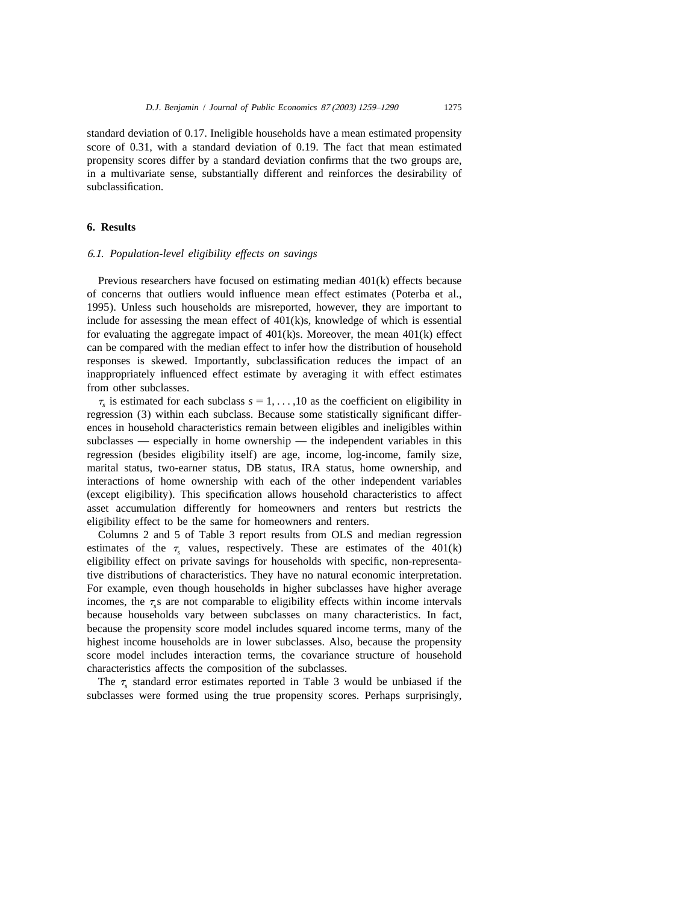standard deviation of 0.17. Ineligible households have a mean estimated propensity score of 0.31, with a standard deviation of 0.19. The fact that mean estimated propensity scores differ by a standard deviation confirms that the two groups are, in a multivariate sense, substantially different and reinforces the desirability of subclassification.

### **6. Results**

### 6.1. *Population*-*level eligibility effects on savings*

Previous researchers have focused on estimating median 401(k) effects because of concerns that outliers would influence mean effect estimates (Poterba et al., 1995). Unless such households are misreported, however, they are important to include for assessing the mean effect of 401(k)s, knowledge of which is essential for evaluating the aggregate impact of  $401(k)s$ . Moreover, the mean  $401(k)$  effect can be compared with the median effect to infer how the distribution of household responses is skewed. Importantly, subclassification reduces the impact of an inappropriately influenced effect estimate by averaging it with effect estimates from other subclasses.

 $\tau_s$  is estimated for each subclass  $s = 1, \ldots, 10$  as the coefficient on eligibility in regression (3) within each subclass. Because some statistically significant differences in household characteristics remain between eligibles and ineligibles within subclasses — especially in home ownership — the independent variables in this regression (besides eligibility itself) are age, income, log-income, family size, marital status, two-earner status, DB status, IRA status, home ownership, and interactions of home ownership with each of the other independent variables (except eligibility). This specification allows household characteristics to affect asset accumulation differently for homeowners and renters but restricts the eligibility effect to be the same for homeowners and renters.

Columns 2 and 5 of Table 3 report results from OLS and median regression estimates of the  $\tau$ , values, respectively. These are estimates of the 401(k) eligibility effect on private savings for households with specific, non-representative distributions of characteristics. They have no natural economic interpretation. For example, even though households in higher subclasses have higher average incomes, the  $\tau$ <sub>s</sub> are not comparable to eligibility effects within income intervals because households vary between subclasses on many characteristics. In fact, because the propensity score model includes squared income terms, many of the highest income households are in lower subclasses. Also, because the propensity score model includes interaction terms, the covariance structure of household characteristics affects the composition of the subclasses.

The  $\tau$  standard error estimates reported in Table 3 would be unbiased if the subclasses were formed using the true propensity scores. Perhaps surprisingly,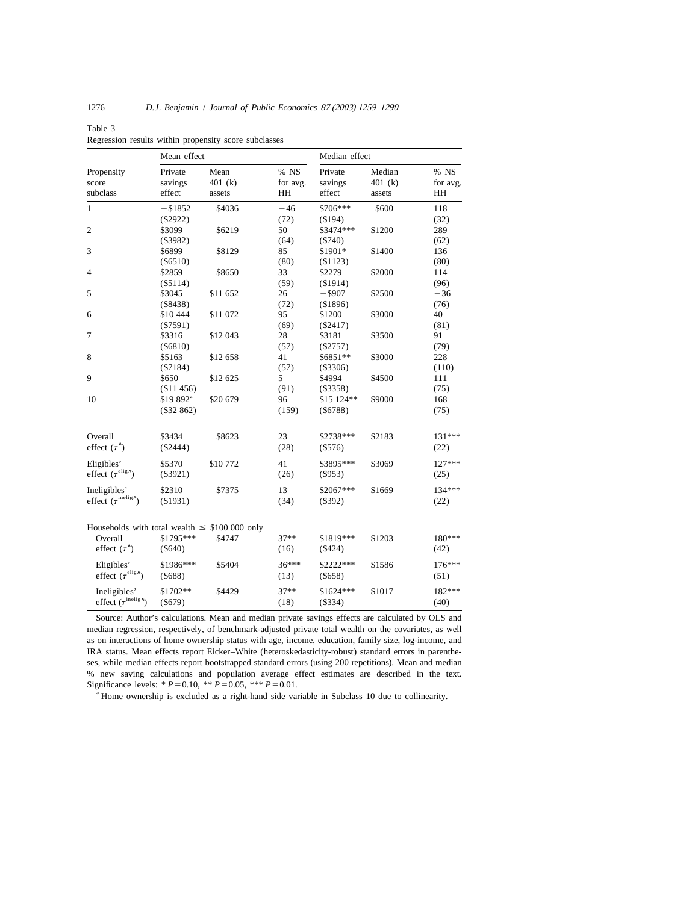|                                                       | Mean effect           |           |          | Median effect |           |          |  |
|-------------------------------------------------------|-----------------------|-----------|----------|---------------|-----------|----------|--|
| Propensity                                            | Private               | Mean      | % NS     | Private       | Median    | % NS     |  |
| score                                                 | savings               | 401 $(k)$ | for avg. | savings       | 401 $(k)$ | for avg. |  |
| subclass                                              | effect                | assets    | HH       | effect        | assets    | HH       |  |
| 1                                                     | $-$ \$1852            | \$4036    | $-46$    | \$706***      | \$600     | 118      |  |
|                                                       | $(\$2922)$            |           | (72)     | (\$194)       |           | (32)     |  |
| $\overline{c}$                                        | \$3099                | \$6219    | 50       | \$3474 ***    | \$1200    | 289      |  |
|                                                       | $($ \$3982)           |           | (64)     | $(\$740)$     |           | (62)     |  |
| 3                                                     | \$6899                | \$8129    | 85       | \$1901*       | \$1400    | 136      |  |
|                                                       | $(\$6510)$            |           | (80)     | ( \$1123)     |           | (80)     |  |
| 4                                                     | \$2859                | \$8650    | 33       | \$2279        | \$2000    | 114      |  |
|                                                       | (\$5114)              |           | (59)     | (\$1914)      |           | (96)     |  |
| 5                                                     | \$3045                | \$11 652  | 26       | $-$ \$907     | \$2500    | $-36$    |  |
|                                                       | $($ \$8438)           |           | (72)     | ( \$1896)     |           | (76)     |  |
| 6                                                     | \$10 444              | \$11 072  | 95       | \$1200        | \$3000    | 40       |  |
|                                                       | $(\$7591)$            |           | (69)     | (\$2417)      |           | (81)     |  |
| 7                                                     | \$3316                | \$12 043  | 28       | \$3181        | \$3500    | 91       |  |
|                                                       | (\$6810)              |           | (57)     | (\$2757)      |           | (79)     |  |
| 8                                                     | \$5163                | \$12 658  | 41       | \$6851**      | \$3000    | 228      |  |
|                                                       | ( \$7184)             |           | (57)     | $($ \$3306)   |           | (110)    |  |
| 9                                                     | \$650                 | \$12 625  | 5        | \$4994        | \$4500    | 111      |  |
|                                                       | ( \$11 456)           |           | (91)     | (\$3358)      |           | (75)     |  |
| 10                                                    | \$19 892 <sup>ª</sup> | \$20 679  | 96       | \$15 124**    | \$9000    | 168      |  |
|                                                       | (\$32862)             |           | (159)    | $($ \$6788)   |           | (75)     |  |
|                                                       |                       |           |          |               |           |          |  |
| Overall                                               | \$3434                | \$8623    | 23       | \$2738***     | \$2183    | 131***   |  |
| effect $(\tau^{\wedge})$                              | (S2444)               |           | (28)     | $(\$576)$     |           | (22)     |  |
| Eligibles'                                            | \$5370                | \$10772   | 41       | \$3895***     | \$3069    | $127***$ |  |
| effect $(\tau^{\mathrm{elig}\,\wedge})$               | $(\$3921)$            |           | (26)     | $($ \$953)    |           | (25)     |  |
|                                                       | \$2310                | \$7375    | 13       | \$2067***     | \$1669    | 134***   |  |
| Ineligibles'<br>effect $(\tau^{\text{inelig}})$       |                       |           |          |               |           |          |  |
|                                                       | ( \$1931)             |           | (34)     | (\$392)       |           | (22)     |  |
| Households with total wealth $\leq$ \$100 000 only    |                       |           |          |               |           |          |  |
| Overall                                               | \$1795***             | \$4747    | $37**$   | \$1819 ***    | \$1203    | 180***   |  |
| effect $(\tau^{\hat{ }})$                             | $(\$640)$             |           | (16)     | $(\$424)$     |           | (42)     |  |
|                                                       | \$1986***             | \$5404    | $36***$  | \$2222***     | \$1586    | $176***$ |  |
| Eligibles'<br>effect $(\tau^{\textrm{elig}\,\wedge})$ |                       |           |          |               |           |          |  |
|                                                       | $($ \$688)            |           | (13)     | $(\$658)$     |           | (51)     |  |
| Ineligibles'                                          | \$1702**              | \$4429    | $37**$   | $$1624***$    | \$1017    | 182***   |  |
| effect $(\tau^{\rm inelig.})$                         | $(\$679)$             |           | (18)     | (\$334)       |           | (40)     |  |

Regression results within propensity score subclasses

Source: Author's calculations. Mean and median private savings effects are calculated by OLS and median regression, respectively, of benchmark-adjusted private total wealth on the covariates, as well as on interactions of home ownership status with age, income, education, family size, log-income, and IRA status. Mean effects report Eicker–White (heteroskedasticity-robust) standard errors in parentheses, while median effects report bootstrapped standard errors (using 200 repetitions). Mean and median % new saving calculations and population average effect estimates are described in the text. Significance levels: \*  $P = 0.10$ , \*\*  $P = 0.05$ , \*\*\*  $P = 0.01$ .

<sup>a</sup> Home ownership is excluded as a right-hand side variable in Subclass 10 due to collinearity.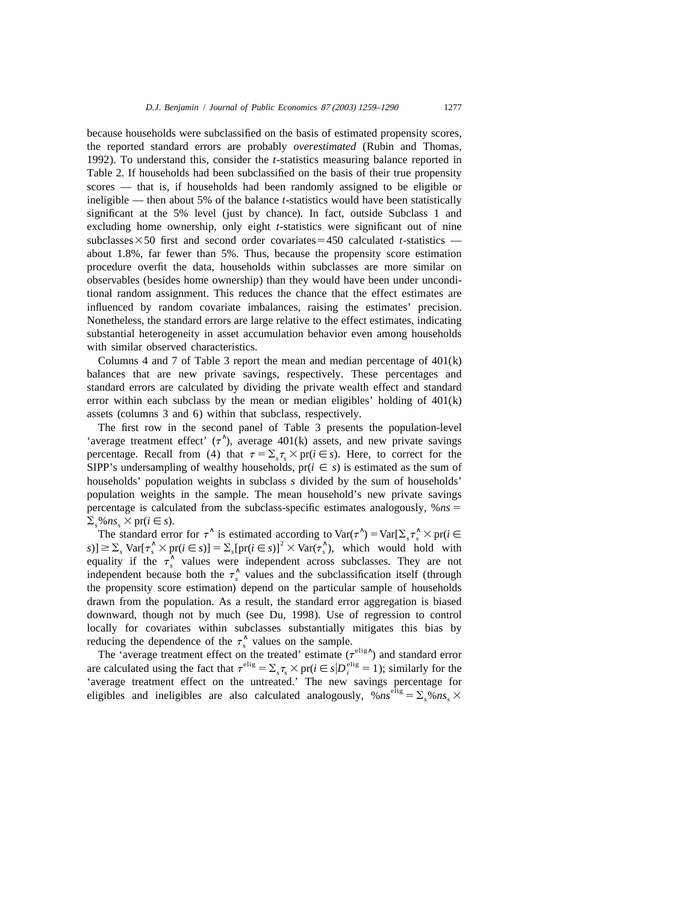because households were subclassified on the basis of estimated propensity scores, the reported standard errors are probably *overestimated* (Rubin and Thomas, 1992). To understand this, consider the *t*-statistics measuring balance reported in Table 2. If households had been subclassified on the basis of their true propensity scores — that is, if households had been randomly assigned to be eligible or ineligible — then about 5% of the balance *t*-statistics would have been statistically significant at the 5% level (just by chance). In fact, outside Subclass 1 and excluding home ownership, only eight *t*-statistics were significant out of nine subclasses $\times$ 50 first and second order covariates = 450 calculated *t*-statistics about 1.8%, far fewer than 5%. Thus, because the propensity score estimation procedure overfit the data, households within subclasses are more similar on observables (besides home ownership) than they would have been under unconditional random assignment. This reduces the chance that the effect estimates are influenced by random covariate imbalances, raising the estimates' precision. Nonetheless, the standard errors are large relative to the effect estimates, indicating substantial heterogeneity in asset accumulation behavior even among households with similar observed characteristics.

Columns 4 and 7 of Table 3 report the mean and median percentage of 401(k) balances that are new private savings, respectively. These percentages and standard errors are calculated by dividing the private wealth effect and standard error within each subclass by the mean or median eligibles' holding of  $401(k)$ assets (columns 3 and 6) within that subclass, respectively.

The first row in the second panel of Table 3 presents the population-level 'average treatment effect'  $(\tau^{\prime})$ , average 401(k) assets, and new private savings percentage. Recall from (4) that  $\tau = \sum_{s} \tau_s \times pr(i \in s)$ . Here, to correct for the SIPP's undersampling of wealthy households,  $pr(i \in s)$  is estimated as the sum of households' population weights in subclass *s* divided by the sum of households' population weights in the sample. The mean household's new private savings percentage is calculated from the subclass-specific estimates analogously,  $\%$ *ns*  $=$ 

 $\Sigma_s \%$ ns,  $\times$  pr( $i \in s$ ).<br>
The standard error for  $\tau^{\wedge}$  is estimated according to  $\text{Var}(\tau^{\wedge}) = \text{Var}[\Sigma_s \tau_s^{\wedge} \times \text{pr}(i \in s)] \ge \Sigma_s \text{Var}[\tau_s^{\wedge} \times \text{pr}(i \in s)] = \Sigma_s[\text{pr}(i \in s)]^2 \times \text{Var}(\tau_s^{\wedge})$ , which would hold with equali the propensity score estimation) depend on the particular sample of households drawn from the population. As a result, the standard error aggregation is biased downward, though not by much (see Du, 1998). Use of regression to control locally for covariates within subclasses substantially mitigates this bias by reducing the dependence of the  $\tau_s^{\wedge}$  values on the sample.<br>The 'average treatment effect on the treated' estimate ( $\tau^{\text{elig}\wedge}$ ) and stan

are calculated using the fact that  $\tau^{elig} = \sum_s \tau_s \times \text{pr}(i \in s | D_i^{elig} = 1)$ ; similarly for the 'average treatment effect on the untreated.' The new savings percentage for eligibles and ineligibles are also calculated analogously,  $\frac{\partial}{\partial n} s \sin \theta = \sum_{n=1}^{\infty} \frac{\partial}{\partial n} s_n \times$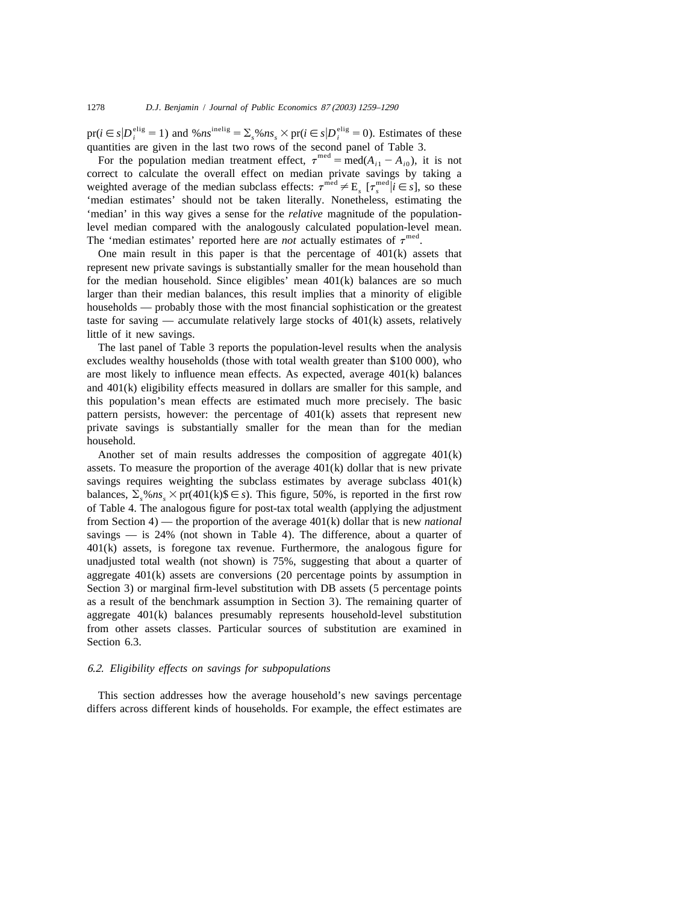$pr(i \in s | D_i^{\text{elig}} = 1)$  and  $\% ns^{\text{inelig}} = \sum_s \% ns_s \times pr(i \in s | D_i^{\text{elig}} = 0)$ . Estimates of these quantities are given in the last two rows of the second panel of Table 3.

For the population median treatment effect,  $\tau^{\text{med}} = \text{med}(A_{i1} - A_{i0})$ , it is not correct to calculate the overall effect on median private savings by taking a weighted average of the median subclass effects:  $\tau^{\text{med}} \neq E_s$  [ $\tau_s^{\text{med}} | i \in s$ ], so these 'median estimates' should not be taken literally. Nonetheless, estimating the 'median' in this way gives a sense for the *relative* magnitude of the populationlevel median compared with the analogously calculated population-level mean. The 'median estimates' reported here are *not* actually estimates of  $\tau^{\text{med}}$ .

One main result in this paper is that the percentage of  $401(k)$  assets that represent new private savings is substantially smaller for the mean household than for the median household. Since eligibles' mean  $401(k)$  balances are so much larger than their median balances, this result implies that a minority of eligible households — probably those with the most financial sophistication or the greatest taste for saving — accumulate relatively large stocks of  $401(k)$  assets, relatively little of it new savings.

The last panel of Table 3 reports the population-level results when the analysis excludes wealthy households (those with total wealth greater than \$100 000), who are most likely to influence mean effects. As expected, average 401(k) balances and 401(k) eligibility effects measured in dollars are smaller for this sample, and this population's mean effects are estimated much more precisely. The basic pattern persists, however: the percentage of  $401(k)$  assets that represent new private savings is substantially smaller for the mean than for the median household.

Another set of main results addresses the composition of aggregate 401(k) assets. To measure the proportion of the average  $401(k)$  dollar that is new private savings requires weighting the subclass estimates by average subclass  $401(k)$ balances,  $\sum_{s}$ % $n_s \times$  pr(401(k)\$  $\in$  *s*). This figure, 50%, is reported in the first row of Table 4. The analogous figure for post-tax total wealth (applying the adjustment from Section 4) — the proportion of the average 401(k) dollar that is new *national* savings — is 24% (not shown in Table 4). The difference, about a quarter of 401(k) assets, is foregone tax revenue. Furthermore, the analogous figure for unadjusted total wealth (not shown) is 75%, suggesting that about a quarter of aggregate 401(k) assets are conversions (20 percentage points by assumption in Section 3) or marginal firm-level substitution with DB assets (5 percentage points as a result of the benchmark assumption in Section 3). The remaining quarter of aggregate 401(k) balances presumably represents household-level substitution from other assets classes. Particular sources of substitution are examined in Section 6.3.

### 6.2. *Eligibility effects on savings for subpopulations*

This section addresses how the average household's new savings percentage differs across different kinds of households. For example, the effect estimates are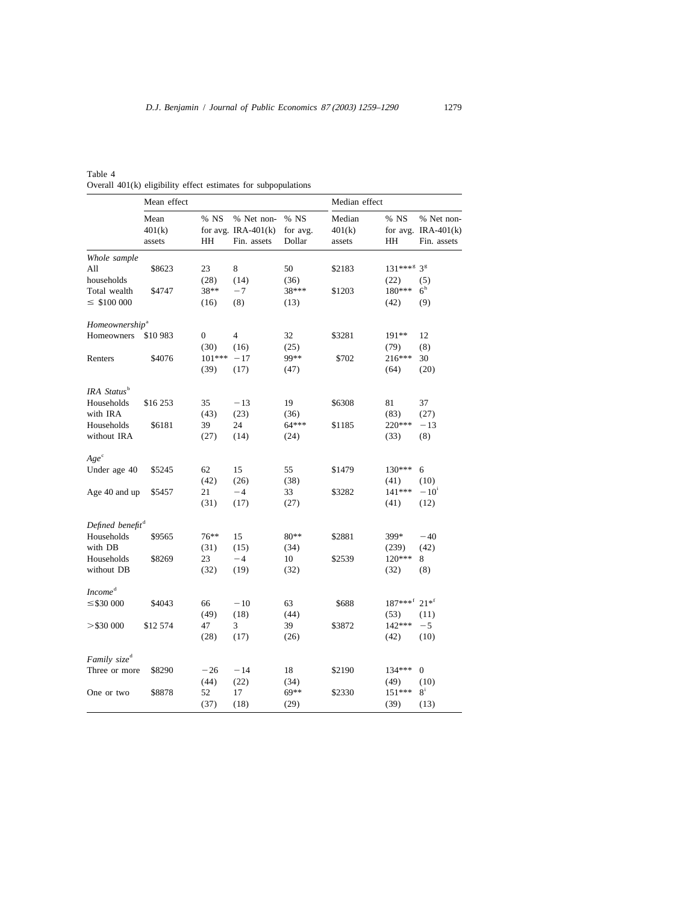|                              | Mean effect              |                  |                                                     | Median effect              |                            |                           |                                                     |
|------------------------------|--------------------------|------------------|-----------------------------------------------------|----------------------------|----------------------------|---------------------------|-----------------------------------------------------|
|                              | Mean<br>401(k)<br>assets | % NS<br>HН       | % Net non-<br>for avg. IRA-401 $(k)$<br>Fin. assets | % NS<br>for avg.<br>Dollar | Median<br>401(k)<br>assets | % NS<br>HH                | % Net non-<br>for avg. IRA-401 $(k)$<br>Fin. assets |
| Whole sample                 |                          |                  |                                                     |                            |                            |                           |                                                     |
| All                          | \$8623                   | 23               | 8                                                   | 50                         | \$2183                     | $131***^g$ 3 <sup>g</sup> |                                                     |
| households                   |                          | (28)             | (14)                                                | (36)                       |                            | (22)                      | (5)                                                 |
| Total wealth                 | \$4747                   | 38**             | $-7$                                                | 38***                      | \$1203                     | 180***                    | 6 <sup>h</sup>                                      |
| $\leq$ \$100 000             |                          | (16)             | (8)                                                 | (13)                       |                            | (42)                      | (9)                                                 |
| Homeownership <sup>a</sup>   |                          |                  |                                                     |                            |                            |                           |                                                     |
| Homeowners                   | \$10 983                 | $\boldsymbol{0}$ | 4                                                   | 32                         | \$3281                     | 191**                     | 12                                                  |
|                              |                          | (30)             | (16)                                                | (25)                       |                            | (79)                      | (8)                                                 |
| Renters                      | \$4076                   | 101***           | $-17$                                               | 99**                       | \$702                      | 216***                    | 30                                                  |
|                              |                          | (39)             | (17)                                                | (47)                       |                            | (64)                      | (20)                                                |
| IRA Status <sup>b</sup>      |                          |                  |                                                     |                            |                            |                           |                                                     |
| Households                   | \$16 253                 | 35               | $-13$                                               | 19                         | \$6308                     | 81                        | 37                                                  |
| with IRA                     |                          | (43)             | (23)                                                | (36)                       |                            | (83)                      | (27)                                                |
| Households                   | \$6181                   | 39               | 24                                                  | 64***                      | \$1185                     | 220***                    | $-13$                                               |
| without IRA                  |                          | (27)             | (14)                                                | (24)                       |                            | (33)                      | (8)                                                 |
|                              |                          |                  |                                                     |                            |                            |                           |                                                     |
| $Age^c$                      |                          |                  |                                                     |                            |                            |                           |                                                     |
| Under age 40                 | \$5245                   | 62               | 15                                                  | 55                         | \$1479                     | $130***$                  | 6                                                   |
|                              |                          | (42)             | (26)                                                | (38)                       |                            | (41)                      | (10)                                                |
| Age 40 and up                | \$5457                   | 21               | $-4$                                                | 33                         | \$3282                     | 141 ***                   | $-10^{1}$                                           |
|                              |                          | (31)             | (17)                                                | (27)                       |                            | (41)                      | (12)                                                |
| Defined benefit <sup>d</sup> |                          |                  |                                                     |                            |                            |                           |                                                     |
| Households                   | \$9565                   | $76***$          | 15                                                  | $80**$                     | \$2881                     | 399*                      | $-40$                                               |
| with DB                      |                          | (31)             | (15)                                                | (34)                       |                            | (239)                     | (42)                                                |
| Households                   | \$8269                   | 23               | $-4$                                                | 10                         | \$2539                     | 120***                    | 8                                                   |
| without DB                   |                          | (32)             | (19)                                                | (32)                       |                            | (32)                      | (8)                                                 |
| Income <sup>d</sup>          |                          |                  |                                                     |                            |                            |                           |                                                     |
| $\leq$ \$30 000              | \$4043                   | 66               | $-10$                                               | 63                         | \$688                      | $187***^{f}$ $21*^{f}$    |                                                     |
|                              |                          | (49)             | (18)                                                | (44)                       |                            | (53)                      | (11)                                                |
| $>$ \$30 000                 | \$12 574                 | 47               | 3                                                   | 39                         | \$3872                     | 142***                    | $-5$                                                |
|                              |                          | (28)             | (17)                                                | (26)                       |                            | (42)                      | (10)                                                |
|                              |                          |                  |                                                     |                            |                            |                           |                                                     |
| Family size <sup>d</sup>     |                          |                  |                                                     |                            |                            |                           |                                                     |
| Three or more                | \$8290                   | $-26$            | $-14$                                               | 18                         | \$2190                     | 134***                    | $\boldsymbol{0}$                                    |
|                              |                          | (44)             | (22)                                                | (34)                       |                            | (49)                      | (10)                                                |
| One or two                   | \$8878                   | 52               | 17                                                  | $69***$                    | \$2330                     | 151***                    | $8^{\rm i}$                                         |
|                              |                          | (37)             | (18)                                                | (29)                       |                            | (39)                      | (13)                                                |

Table 4 Overall 401(k) eligibility effect estimates for subpopulations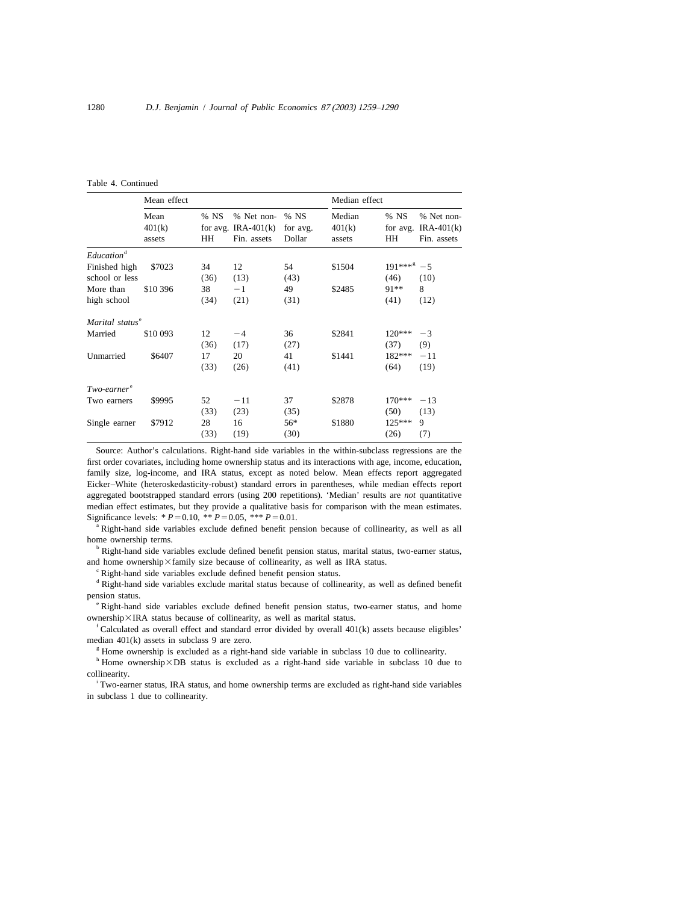#### Table 4. Continued

|                             | Mean effect              |            |                                                     | Median effect              |                            |            |                                                     |
|-----------------------------|--------------------------|------------|-----------------------------------------------------|----------------------------|----------------------------|------------|-----------------------------------------------------|
|                             | Mean<br>401(k)<br>assets | % NS<br>HH | % Net non-<br>for avg. IRA-401 $(k)$<br>Fin. assets | % NS<br>for avg.<br>Dollar | Median<br>401(k)<br>assets | % NS<br>HH | % Net non-<br>for avg. IRA-401 $(k)$<br>Fin. assets |
| Education <sup>d</sup>      |                          |            |                                                     |                            |                            |            |                                                     |
| Finished high               | \$7023                   | 34         | 12                                                  | 54                         | \$1504                     | $191***8$  | $-5$                                                |
| school or less              |                          | (36)       | (13)                                                | (43)                       |                            | (46)       | (10)                                                |
| More than                   | \$10 396                 | 38         | $-1$                                                | 49                         | \$2485                     | $91**$     | 8                                                   |
| high school                 |                          | (34)       | (21)                                                | (31)                       |                            | (41)       | (12)                                                |
| Marital status <sup>e</sup> |                          |            |                                                     |                            |                            |            |                                                     |
| Married                     | \$10 093                 | 12         | $-4$                                                | 36                         | \$2841                     | $120***$   | $-3$                                                |
|                             |                          | (36)       | (17)                                                | (27)                       |                            | (37)       | (9)                                                 |
| Unmarried                   | \$6407                   | 17         | 20                                                  | 41                         | \$1441                     | 182***     | $-11$                                               |
|                             |                          | (33)       | (26)                                                | (41)                       |                            | (64)       | (19)                                                |
| Two-earner <sup>e</sup>     |                          |            |                                                     |                            |                            |            |                                                     |
| Two earners                 | \$9995                   | 52         | $-11$                                               | 37                         | \$2878                     | $170***$   | $-13$                                               |
|                             |                          | (33)       | (23)                                                | (35)                       |                            | (50)       | (13)                                                |
| Single earner               | \$7912                   | 28         | 16                                                  | $56*$                      | \$1880                     | $125***$   | 9                                                   |
|                             |                          | (33)       | (19)                                                | (30)                       |                            | (26)       | (7)                                                 |

Source: Author's calculations. Right-hand side variables in the within-subclass regressions are the first order covariates, including home ownership status and its interactions with age, income, education, family size, log-income, and IRA status, except as noted below. Mean effects report aggregated Eicker–White (heteroskedasticity-robust) standard errors in parentheses, while median effects report aggregated bootstrapped standard errors (using 200 repetitions). 'Median' results are *not* quantitative median effect estimates, but they provide a qualitative basis for comparison with the mean estimates. Significance levels: \*  $P = 0.10$ , \*\*  $P = 0.05$ , \*\*\*  $P = 0.01$ .

<sup>a</sup> Right-hand side variables exclude defined benefit pension because of collinearity, as well as all home ownership terms.

<sup>b</sup> Right-hand side variables exclude defined benefit pension status, marital status, two-earner status, and home ownership $\times$ family size because of collinearity, as well as IRA status.

<sup>c</sup> Right-hand side variables exclude defined benefit pension status.

<sup>d</sup> Right-hand side variables exclude marital status because of collinearity, as well as defined benefit pension status.

e Right-hand side variables exclude defined benefit pension status, two-earner status, and home ownership×IRA status because of collinearity, as well as marital status.

 $f$  Calculated as overall effect and standard error divided by overall 401(k) assets because eligibles' median 401(k) assets in subclass 9 are zero.

<sup>8</sup> Home ownership is excluded as a right-hand side variable in subclass 10 due to collinearity.

 $h$  Home ownership $\times$ DB status is excluded as a right-hand side variable in subclass 10 due to collinearity.

i Two-earner status, IRA status, and home ownership terms are excluded as right-hand side variables in subclass 1 due to collinearity.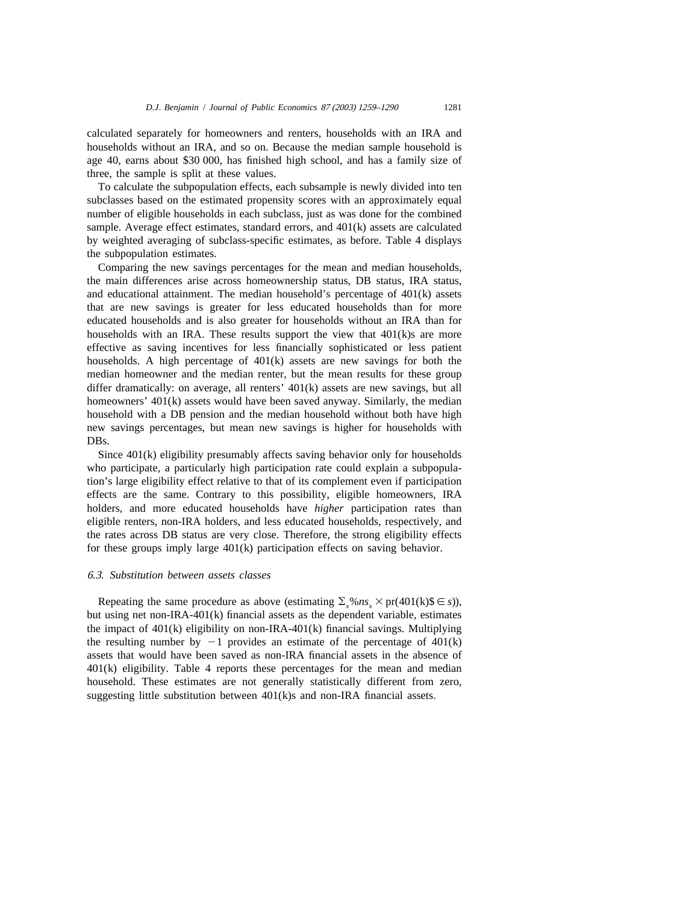calculated separately for homeowners and renters, households with an IRA and households without an IRA, and so on. Because the median sample household is age 40, earns about \$30 000, has finished high school, and has a family size of three, the sample is split at these values.

To calculate the subpopulation effects, each subsample is newly divided into ten subclasses based on the estimated propensity scores with an approximately equal number of eligible households in each subclass, just as was done for the combined sample. Average effect estimates, standard errors, and 401(k) assets are calculated by weighted averaging of subclass-specific estimates, as before. Table 4 displays the subpopulation estimates.

Comparing the new savings percentages for the mean and median households, the main differences arise across homeownership status, DB status, IRA status, and educational attainment. The median household's percentage of 401(k) assets that are new savings is greater for less educated households than for more educated households and is also greater for households without an IRA than for households with an IRA. These results support the view that  $401(k)$  are more effective as saving incentives for less financially sophisticated or less patient households. A high percentage of 401(k) assets are new savings for both the median homeowner and the median renter, but the mean results for these group differ dramatically: on average, all renters' 401(k) assets are new savings, but all homeowners'  $401(k)$  assets would have been saved anyway. Similarly, the median household with a DB pension and the median household without both have high new savings percentages, but mean new savings is higher for households with DBs.

Since 401(k) eligibility presumably affects saving behavior only for households who participate, a particularly high participation rate could explain a subpopulation's large eligibility effect relative to that of its complement even if participation effects are the same. Contrary to this possibility, eligible homeowners, IRA holders, and more educated households have *higher* participation rates than eligible renters, non-IRA holders, and less educated households, respectively, and the rates across DB status are very close. Therefore, the strong eligibility effects for these groups imply large 401(k) participation effects on saving behavior.

### 6.3. *Substitution between assets classes*

Repeating the same procedure as above (estimating  $\sum \,^s s \,^s n s \cdot^{\times} p r (401(k) \cdot \mathcal{S} \in s)$ ), but using net non-IRA-401(k) financial assets as the dependent variable, estimates the impact of 401(k) eligibility on non-IRA-401(k) financial savings. Multiplying the resulting number by  $-1$  provides an estimate of the percentage of  $401(k)$ assets that would have been saved as non-IRA financial assets in the absence of 401(k) eligibility. Table 4 reports these percentages for the mean and median household. These estimates are not generally statistically different from zero, suggesting little substitution between 401(k)s and non-IRA financial assets.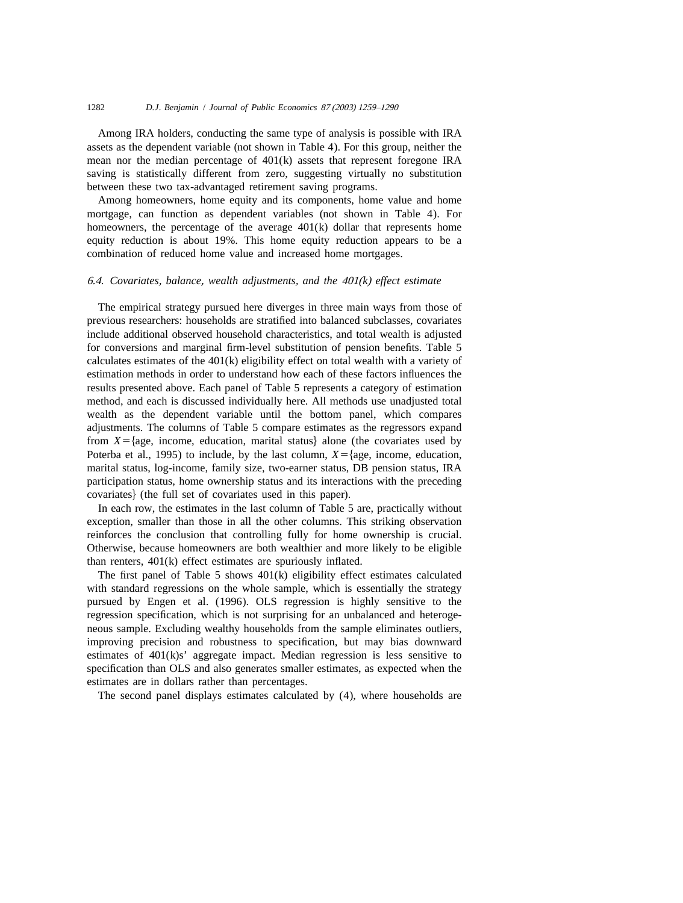Among IRA holders, conducting the same type of analysis is possible with IRA assets as the dependent variable (not shown in Table 4). For this group, neither the mean nor the median percentage of  $401(k)$  assets that represent foregone IRA saving is statistically different from zero, suggesting virtually no substitution between these two tax-advantaged retirement saving programs.

Among homeowners, home equity and its components, home value and home mortgage, can function as dependent variables (not shown in Table 4). For homeowners, the percentage of the average 401(k) dollar that represents home equity reduction is about 19%. This home equity reduction appears to be a combination of reduced home value and increased home mortgages.

### 6.4. *Covariates*, *balance*, *wealth adjustments*, *and the* 401(*k*) *effect estimate*

The empirical strategy pursued here diverges in three main ways from those of previous researchers: households are stratified into balanced subclasses, covariates include additional observed household characteristics, and total wealth is adjusted for conversions and marginal firm-level substitution of pension benefits. Table 5 calculates estimates of the 401(k) eligibility effect on total wealth with a variety of estimation methods in order to understand how each of these factors influences the results presented above. Each panel of Table 5 represents a category of estimation method, and each is discussed individually here. All methods use unadjusted total wealth as the dependent variable until the bottom panel, which compares adjustments. The columns of Table 5 compare estimates as the regressors expand from  $X = \{ \text{age}, \text{ income}, \text{ education}, \text{marital status} \}$  alone (the covariates used by Poterba et al., 1995) to include, by the last column,  $X = \{ \text{age}, \text{income}, \text{ education}, \}$ marital status, log-income, family size, two-earner status, DB pension status, IRA participation status, home ownership status and its interactions with the preceding covariates} (the full set of covariates used in this paper).

In each row, the estimates in the last column of Table 5 are, practically without exception, smaller than those in all the other columns. This striking observation reinforces the conclusion that controlling fully for home ownership is crucial. Otherwise, because homeowners are both wealthier and more likely to be eligible than renters, 401(k) effect estimates are spuriously inflated.

The first panel of Table 5 shows 401(k) eligibility effect estimates calculated with standard regressions on the whole sample, which is essentially the strategy pursued by Engen et al. (1996). OLS regression is highly sensitive to the regression specification, which is not surprising for an unbalanced and heterogeneous sample. Excluding wealthy households from the sample eliminates outliers, improving precision and robustness to specification, but may bias downward estimates of  $401(k)s'$  aggregate impact. Median regression is less sensitive to specification than OLS and also generates smaller estimates, as expected when the estimates are in dollars rather than percentages.

The second panel displays estimates calculated by (4), where households are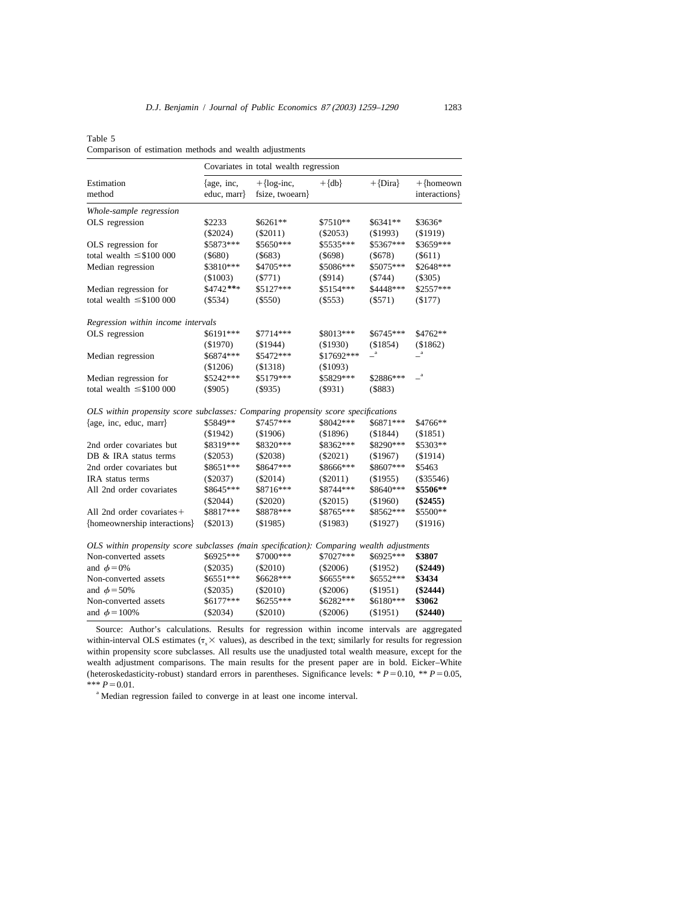|                                                                                           | Covariates in total wealth regression |                                  |                         |                      |                               |  |  |  |
|-------------------------------------------------------------------------------------------|---------------------------------------|----------------------------------|-------------------------|----------------------|-------------------------------|--|--|--|
| Estimation<br>method                                                                      | $\{$ age, inc,<br>educ, marr}         | $+$ {log-inc,<br>fsize, twoearn} | $+\{db\}$               | $+$ {Dira}           | $+$ {homeown<br>interactions} |  |  |  |
| Whole-sample regression                                                                   |                                       |                                  |                         |                      |                               |  |  |  |
| OLS regression                                                                            | \$2233<br>$(\$2024)$                  | \$6261**<br>$(\$2011)$           | $$7510**$<br>$(\$2053)$ | \$6341**<br>(\$1993) | \$3636*<br>(\$1919)           |  |  |  |
| OLS regression for                                                                        | \$5873 ***                            | \$5650***                        | \$5535***               | \$5367***            | \$3659***                     |  |  |  |
| total wealth $\leq$ \$100 000                                                             | $($ \$680)                            | $($ \$683)                       | $($ \$698)              | $(\$678)$            | $(\$611)$                     |  |  |  |
| Median regression                                                                         | \$3810***                             | \$4705***                        | \$5086***               | \$5075***            | \$2648***                     |  |  |  |
|                                                                                           | (\$1003)                              | $(\$771)$                        | $($ \$914)              | (S744)               | $(\$305)$                     |  |  |  |
| Median regression for                                                                     | \$4742***                             | \$5127***                        | \$5154***               | \$4448***            | \$2557***                     |  |  |  |
| total wealth $\leq$ \$100 000                                                             | (S534)                                | $(\$550)$                        | (\$553)                 | (S571)               | (\$177)                       |  |  |  |
| Regression within income intervals                                                        |                                       |                                  |                         |                      |                               |  |  |  |
| OLS regression                                                                            | \$6191***                             | \$7714***                        | \$8013***               | $$6745***$           | \$4762**                      |  |  |  |
|                                                                                           | $(\$1970)$                            | (\$1944)                         | ( \$1930)               | (\$1854)             | (\$1862)                      |  |  |  |
| Median regression                                                                         | \$6874***                             | \$5472***                        | \$17692***              | $\_a$                | $\mathstrut_-^{\rm a}$        |  |  |  |
|                                                                                           | $(\$1206)$                            | ( \$1318)                        | (\$1093)                |                      |                               |  |  |  |
| Median regression for                                                                     | \$5242 ***                            | \$5179***                        | \$5829***               | \$2886***            | $\mathbf{a}$                  |  |  |  |
| total wealth $\leq$ \$100 000                                                             | $(\$905)$                             | $($ \$935)                       | $(\$931)$               | $($ \$883)           |                               |  |  |  |
| OLS within propensity score subclasses: Comparing propensity score specifications         |                                       |                                  |                         |                      |                               |  |  |  |
| {age, inc, educ, marr}                                                                    | \$5849**                              | \$7457***                        | \$8042***               | $$6871***$           | \$4766**                      |  |  |  |
|                                                                                           | $(\$1942)$                            | (\$1906)                         | ( \$1896)               | (\$1844)             | (\$1851)                      |  |  |  |
| 2nd order covariates but                                                                  | \$8319***                             | \$8320***                        | \$8362***               | \$8290***            | \$5303**                      |  |  |  |
| DB & IRA status terms                                                                     | $(\$2053)$                            | (\$2038)                         | $(\$2021)$              | $($ \$1967)          | (\$1914)                      |  |  |  |
| 2nd order covariates but                                                                  | \$8651 ***                            | \$8647***                        | \$8666***               | \$8607***            | \$5463                        |  |  |  |
| <b>IRA</b> status terms                                                                   | $(\$2037)$                            | $(\$2014)$                       | $(\$2011)$              | (\$1955)             | (\$35546)                     |  |  |  |
| All 2nd order covariates                                                                  | \$8645***                             | \$8716***                        | \$8744 ***              | \$8640***            | \$5506**                      |  |  |  |
|                                                                                           | $(\$2044)$                            | $(\$2020)$                       | $(\$2015)$              | (\$1960)             | $(\$2455)$                    |  |  |  |
| All 2nd order covariates +                                                                | \$8817***                             | \$8878 ***                       | \$8765***               | \$8562***            | \$5500**                      |  |  |  |
| {homeownership interactions}                                                              | $(\$2013)$                            | (\$1985)                         | ( \$1983)               | (\$1927)             | (\$1916)                      |  |  |  |
| OLS within propensity score subclasses (main specification): Comparing wealth adjustments |                                       |                                  |                         |                      |                               |  |  |  |
| Non-converted assets                                                                      | \$6925***                             | \$7000***                        | \$7027***               | $$6925***$           | \$3807                        |  |  |  |
| and $\phi = 0\%$                                                                          | $(\$2035)$                            | $(\$2010)$                       | (\$2006)                | (\$1952)             | $(\$2449)$                    |  |  |  |
| Non-converted assets                                                                      | \$6551***                             | \$6628***                        | \$6655***               | \$6552***            | \$3434                        |  |  |  |
| and $\phi$ = 50%                                                                          | $(\$2035)$                            | $(\$2010)$                       | (\$2006)                | (\$1951)             | (\$2444)                      |  |  |  |
| Non-converted assets                                                                      | $$6177***$                            | \$6255***                        | \$6282***               | \$6180***            | \$3062                        |  |  |  |
| and $\phi = 100\%$                                                                        | (\$2034)                              | $(\$2010)$                       | $(\$2006)$              | (\$1951)             | $(\$2440)$                    |  |  |  |

|  |  |  |  |  |  | Comparison of estimation methods and wealth adjustments |
|--|--|--|--|--|--|---------------------------------------------------------|
|--|--|--|--|--|--|---------------------------------------------------------|

Table 5

Source: Author's calculations. Results for regression within income intervals are aggregated within-interval OLS estimates ( $\tau$ ,  $\times$  values), as described in the text; similarly for results for regression within propensity score subclasses. All results use the unadjusted total wealth measure, except for the wealth adjustment comparisons. The main results for the present paper are in bold. Eicker–White (heteroskedasticity-robust) standard errors in parentheses. Significance levels: \*  $P=0.10$ , \*\*  $P=0.05$ ,  $*** P=0.01.$ 

<sup>a</sup> Median regression failed to converge in at least one income interval.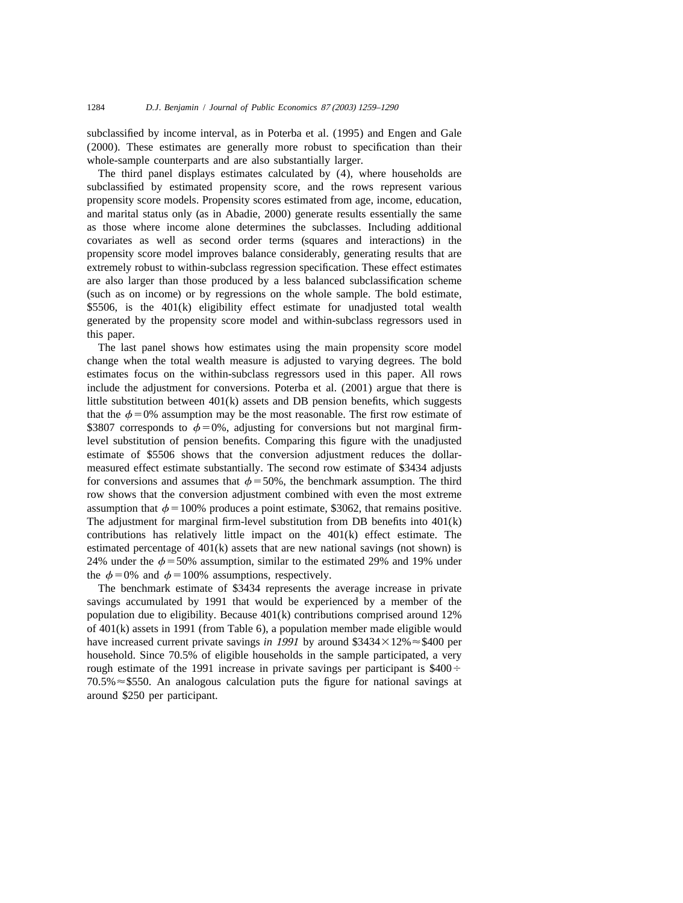subclassified by income interval, as in Poterba et al. (1995) and Engen and Gale (2000). These estimates are generally more robust to specification than their whole-sample counterparts and are also substantially larger.

The third panel displays estimates calculated by (4), where households are subclassified by estimated propensity score, and the rows represent various propensity score models. Propensity scores estimated from age, income, education, and marital status only (as in Abadie, 2000) generate results essentially the same as those where income alone determines the subclasses. Including additional covariates as well as second order terms (squares and interactions) in the propensity score model improves balance considerably, generating results that are extremely robust to within-subclass regression specification. These effect estimates are also larger than those produced by a less balanced subclassification scheme (such as on income) or by regressions on the whole sample. The bold estimate, \$5506, is the 401(k) eligibility effect estimate for unadjusted total wealth generated by the propensity score model and within-subclass regressors used in this paper.

The last panel shows how estimates using the main propensity score model change when the total wealth measure is adjusted to varying degrees. The bold estimates focus on the within-subclass regressors used in this paper. All rows include the adjustment for conversions. Poterba et al. (2001) argue that there is little substitution between  $401(k)$  assets and DB pension benefits, which suggests that the  $\phi = 0\%$  assumption may be the most reasonable. The first row estimate of \$3807 corresponds to  $\phi = 0\%$ , adjusting for conversions but not marginal firmlevel substitution of pension benefits. Comparing this figure with the unadjusted estimate of \$5506 shows that the conversion adjustment reduces the dollarmeasured effect estimate substantially. The second row estimate of \$3434 adjusts for conversions and assumes that  $\phi = 50\%$ , the benchmark assumption. The third row shows that the conversion adjustment combined with even the most extreme assumption that  $\phi = 100\%$  produces a point estimate, \$3062, that remains positive. The adjustment for marginal firm-level substitution from DB benefits into  $401(k)$ contributions has relatively little impact on the 401(k) effect estimate. The estimated percentage of  $401(k)$  assets that are new national savings (not shown) is 24% under the  $\phi = 50\%$  assumption, similar to the estimated 29% and 19% under the  $\phi = 0\%$  and  $\phi = 100\%$  assumptions, respectively.

The benchmark estimate of \$3434 represents the average increase in private savings accumulated by 1991 that would be experienced by a member of the population due to eligibility. Because 401(k) contributions comprised around 12% of 401(k) assets in 1991 (from Table 6), a population member made eligible would have increased current private savings *in* 1991 by around \$3434 $\times$ 12% $\approx$ \$400 per household. Since 70.5% of eligible households in the sample participated, a very rough estimate of the 1991 increase in private savings per participant is  $$400 \div$  $70.5\% \approx $550$ . An analogous calculation puts the figure for national savings at around \$250 per participant.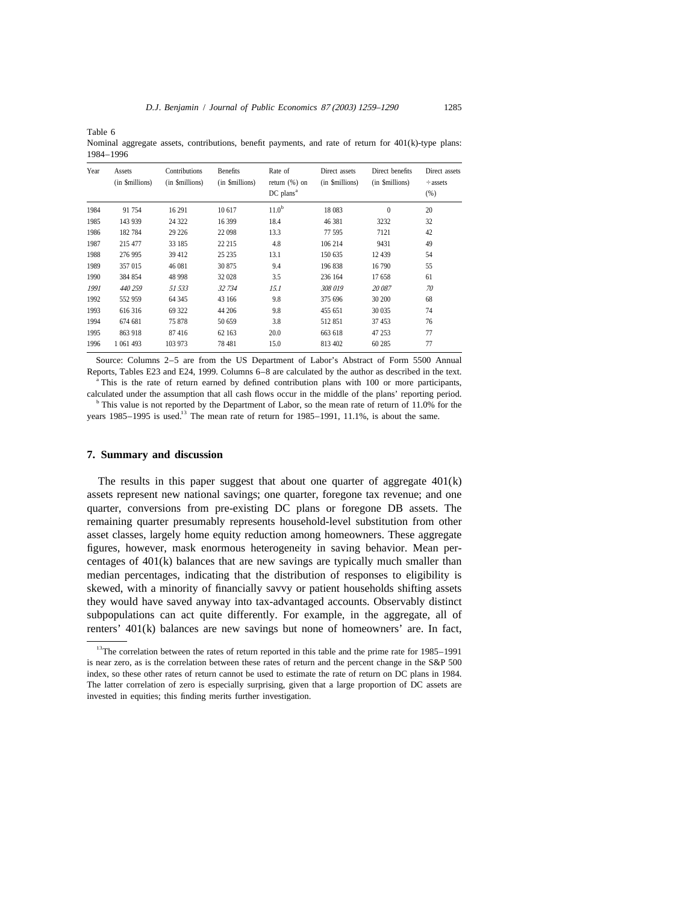Table 6

Nominal aggregate assets, contributions, benefit payments, and rate of return for 401(k)-type plans: 1984–1996

| Year | Assets<br>(in \$millions) | Contributions<br>(in \$millions) | <b>Benefits</b><br>(in \$millions) | Rate of<br>return $(\% )$ on<br>$DC$ plans <sup>a</sup> | Direct assets<br>(in \$millions) | Direct benefits<br>(in \$millions) | Direct assets<br>$\div$ assets<br>(%) |
|------|---------------------------|----------------------------------|------------------------------------|---------------------------------------------------------|----------------------------------|------------------------------------|---------------------------------------|
| 1984 | 91 754                    | 16 29 1                          | 10 617                             | 11.0 <sup>b</sup>                                       | 18 083                           | $\Omega$                           | 20                                    |
| 1985 | 143 939                   | 24 3 22                          | 16 399                             | 18.4                                                    | 46 381                           | 3232                               | 32                                    |
| 1986 | 182 784                   | 29 22 6                          | 22 098                             | 13.3                                                    | 77 595                           | 7121                               | 42                                    |
| 1987 | 215 477                   | 33 185                           | 22 215                             | 4.8                                                     | 106 214                          | 9431                               | 49                                    |
| 1988 | 276 995                   | 39 412                           | 25 235                             | 13.1                                                    | 150 635                          | 12 4 39                            | 54                                    |
| 1989 | 357015                    | 46 081                           | 30 875                             | 9.4                                                     | 196 838                          | 16 790                             | 55                                    |
| 1990 | 384 854                   | 48 998                           | 32 028                             | 3.5                                                     | 236 164                          | 17658                              | 61                                    |
| 1991 | 440 259                   | 51 533                           | 32 734                             | 15.1                                                    | 308 019                          | 20 087                             | 70                                    |
| 1992 | 552959                    | 64 345                           | 43 166                             | 9.8                                                     | 375 696                          | 30 200                             | 68                                    |
| 1993 | 616 316                   | 69 322                           | 44 20 6                            | 9.8                                                     | 455 651                          | 30 0 35                            | 74                                    |
| 1994 | 674 681                   | 75 878                           | 50 659                             | 3.8                                                     | 512851                           | 37 453                             | 76                                    |
| 1995 | 863 918                   | 87416                            | 62 163                             | 20.0                                                    | 663 618                          | 47 253                             | 77                                    |
| 1996 | 1 061 493                 | 103 973                          | 78 481                             | 15.0                                                    | 813 402                          | 60 285                             | 77                                    |

Source: Columns 2–5 are from the US Department of Labor's Abstract of Form 5500 Annual Reports, Tables E23 and E24, 1999. Columns 6–8 are calculated by the author as described in the text. <sup>a</sup> This is the rate of return earned by defined contribution plans with 100 or more participants, calculated under the assumption that all cash flows occur in the middle of the plans' reporting period.

 $\mu$ <sup>b</sup> This value is not reported by the Department of Labor, so the mean rate of return of 11.0% for the years  $1985-1995$  is used.<sup>13</sup> The mean rate of return for  $1985-1991$ ,  $11.1\%$ , is about the same.

#### **7. Summary and discussion**

The results in this paper suggest that about one quarter of aggregate  $401(k)$ assets represent new national savings; one quarter, foregone tax revenue; and one quarter, conversions from pre-existing DC plans or foregone DB assets. The remaining quarter presumably represents household-level substitution from other asset classes, largely home equity reduction among homeowners. These aggregate figures, however, mask enormous heterogeneity in saving behavior. Mean percentages of  $401(k)$  balances that are new savings are typically much smaller than median percentages, indicating that the distribution of responses to eligibility is skewed, with a minority of financially savvy or patient households shifting assets they would have saved anyway into tax-advantaged accounts. Observably distinct subpopulations can act quite differently. For example, in the aggregate, all of renters' 401(k) balances are new savings but none of homeowners' are. In fact,

<sup>&</sup>lt;sup>13</sup>The correlation between the rates of return reported in this table and the prime rate for 1985–1991 is near zero, as is the correlation between these rates of return and the percent change in the S&P 500 index, so these other rates of return cannot be used to estimate the rate of return on DC plans in 1984. The latter correlation of zero is especially surprising, given that a large proportion of DC assets are invested in equities; this finding merits further investigation.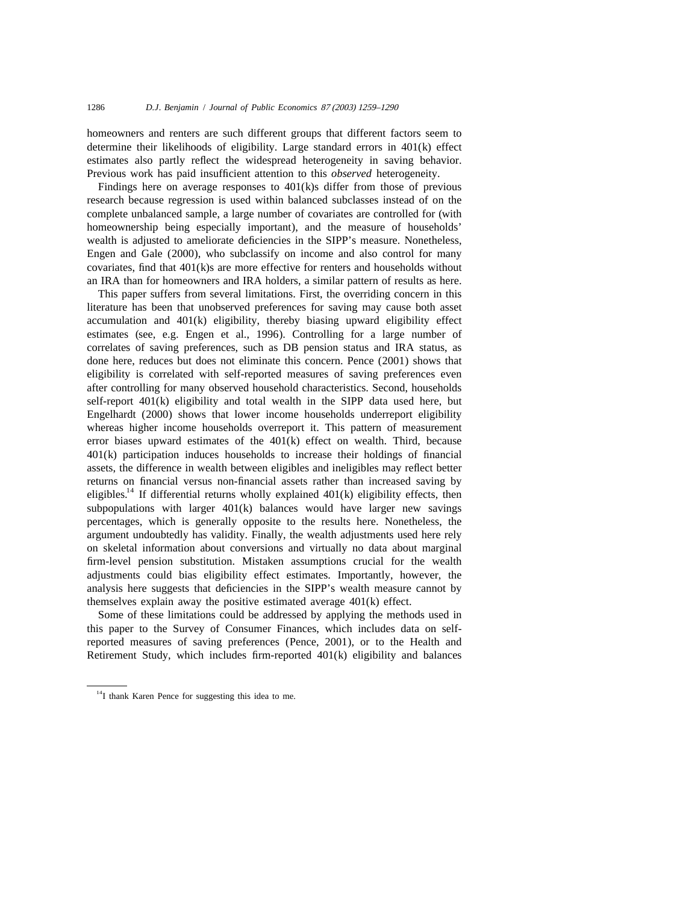homeowners and renters are such different groups that different factors seem to determine their likelihoods of eligibility. Large standard errors in 401(k) effect estimates also partly reflect the widespread heterogeneity in saving behavior. Previous work has paid insufficient attention to this *observed* heterogeneity.

Findings here on average responses to  $401(k)s$  differ from those of previous research because regression is used within balanced subclasses instead of on the complete unbalanced sample, a large number of covariates are controlled for (with homeownership being especially important), and the measure of households' wealth is adjusted to ameliorate deficiencies in the SIPP's measure. Nonetheless, Engen and Gale (2000), who subclassify on income and also control for many covariates, find that 401(k)s are more effective for renters and households without an IRA than for homeowners and IRA holders, a similar pattern of results as here.

This paper suffers from several limitations. First, the overriding concern in this literature has been that unobserved preferences for saving may cause both asset accumulation and 401(k) eligibility, thereby biasing upward eligibility effect estimates (see, e.g. Engen et al., 1996). Controlling for a large number of correlates of saving preferences, such as DB pension status and IRA status, as done here, reduces but does not eliminate this concern. Pence (2001) shows that eligibility is correlated with self-reported measures of saving preferences even after controlling for many observed household characteristics. Second, households self-report 401(k) eligibility and total wealth in the SIPP data used here, but Engelhardt (2000) shows that lower income households underreport eligibility whereas higher income households overreport it. This pattern of measurement error biases upward estimates of the 401(k) effect on wealth. Third, because 401(k) participation induces households to increase their holdings of financial assets, the difference in wealth between eligibles and ineligibles may reflect better returns on financial versus non-financial assets rather than increased saving by eligibles.<sup>14</sup> If differential returns wholly explained  $401(k)$  eligibility effects, then subpopulations with larger 401(k) balances would have larger new savings percentages, which is generally opposite to the results here. Nonetheless, the argument undoubtedly has validity. Finally, the wealth adjustments used here rely on skeletal information about conversions and virtually no data about marginal firm-level pension substitution. Mistaken assumptions crucial for the wealth adjustments could bias eligibility effect estimates. Importantly, however, the analysis here suggests that deficiencies in the SIPP's wealth measure cannot by themselves explain away the positive estimated average 401(k) effect.

Some of these limitations could be addressed by applying the methods used in this paper to the Survey of Consumer Finances, which includes data on selfreported measures of saving preferences (Pence, 2001), or to the Health and Retirement Study, which includes firm-reported 401(k) eligibility and balances

 $14$ I thank Karen Pence for suggesting this idea to me.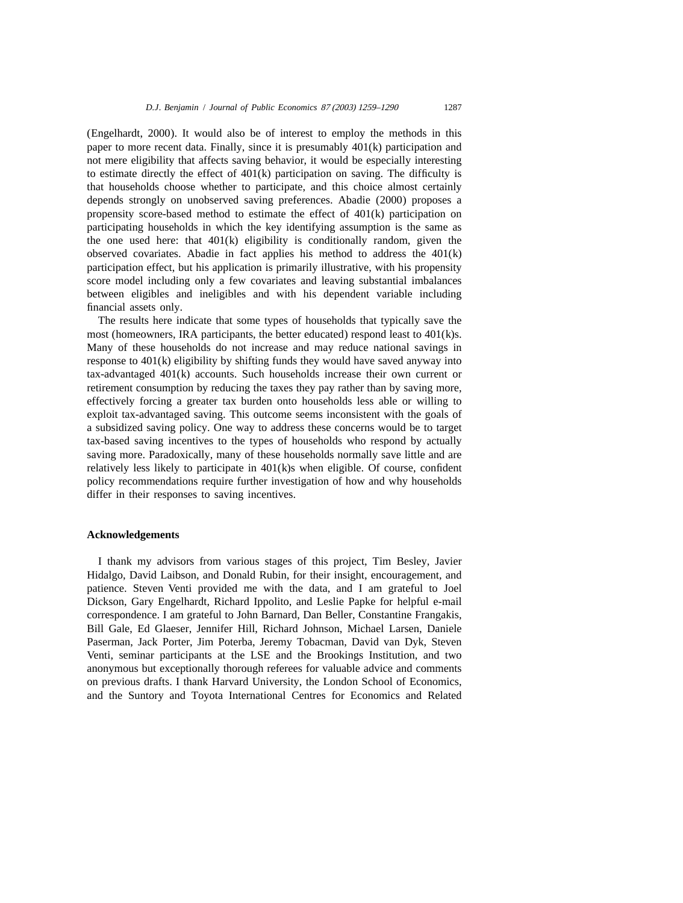(Engelhardt, 2000). It would also be of interest to employ the methods in this paper to more recent data. Finally, since it is presumably 401(k) participation and not mere eligibility that affects saving behavior, it would be especially interesting to estimate directly the effect of  $401(k)$  participation on saving. The difficulty is that households choose whether to participate, and this choice almost certainly depends strongly on unobserved saving preferences. Abadie (2000) proposes a propensity score-based method to estimate the effect of 401(k) participation on participating households in which the key identifying assumption is the same as the one used here: that  $401(k)$  eligibility is conditionally random, given the observed covariates. Abadie in fact applies his method to address the 401(k) participation effect, but his application is primarily illustrative, with his propensity score model including only a few covariates and leaving substantial imbalances between eligibles and ineligibles and with his dependent variable including financial assets only.

The results here indicate that some types of households that typically save the most (homeowners, IRA participants, the better educated) respond least to 401(k)s. Many of these households do not increase and may reduce national savings in response to 401(k) eligibility by shifting funds they would have saved anyway into  $tax-advantaged 401(k) accounts. Such households increase their own current or$ retirement consumption by reducing the taxes they pay rather than by saving more, effectively forcing a greater tax burden onto households less able or willing to exploit tax-advantaged saving. This outcome seems inconsistent with the goals of a subsidized saving policy. One way to address these concerns would be to target tax-based saving incentives to the types of households who respond by actually saving more. Paradoxically, many of these households normally save little and are relatively less likely to participate in  $401(k)$ s when eligible. Of course, confident policy recommendations require further investigation of how and why households differ in their responses to saving incentives.

### **Acknowledgements**

I thank my advisors from various stages of this project, Tim Besley, Javier Hidalgo, David Laibson, and Donald Rubin, for their insight, encouragement, and patience. Steven Venti provided me with the data, and I am grateful to Joel Dickson, Gary Engelhardt, Richard Ippolito, and Leslie Papke for helpful e-mail correspondence. I am grateful to John Barnard, Dan Beller, Constantine Frangakis, Bill Gale, Ed Glaeser, Jennifer Hill, Richard Johnson, Michael Larsen, Daniele Paserman, Jack Porter, Jim Poterba, Jeremy Tobacman, David van Dyk, Steven Venti, seminar participants at the LSE and the Brookings Institution, and two anonymous but exceptionally thorough referees for valuable advice and comments on previous drafts. I thank Harvard University, the London School of Economics, and the Suntory and Toyota International Centres for Economics and Related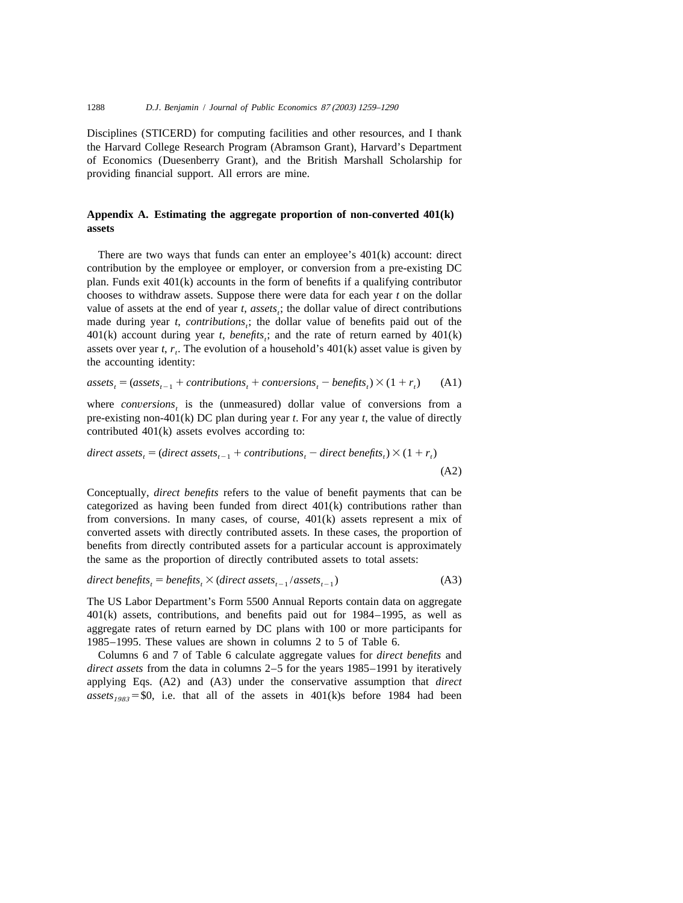Disciplines (STICERD) for computing facilities and other resources, and I thank the Harvard College Research Program (Abramson Grant), Harvard's Department of Economics (Duesenberry Grant), and the British Marshall Scholarship for providing financial support. All errors are mine.

## **Appendix A. Estimating the aggregate proportion of non-converted 401(k) assets**

There are two ways that funds can enter an employee's 401(k) account: direct contribution by the employee or employer, or conversion from a pre-existing DC plan. Funds exit 401(k) accounts in the form of benefits if a qualifying contributor chooses to withdraw assets. Suppose there were data for each year *t* on the dollar value of assets at the end of year *t*, *assets*,; the dollar value of direct contributions made during year *t*, *contributions* ; the dollar value of benefits paid out of the *<sup>t</sup>*  $401(k)$  account during year *t*, *benefits*; and the rate of return earned by  $401(k)$ assets over year  $t$ ,  $r_t$ . The evolution of a household's  $401(k)$  asset value is given by the accounting identity:

$$
asserts_t = (asserts_{t-1} + contributions_t + conversions_t - benefits_t) \times (1 + r_t)
$$
 (A1)

where *conversions*, is the (unmeasured) dollar value of conversions from a pre-existing non-401(k) DC plan during year *t*. For any year *t*, the value of directly contributed 401(k) assets evolves according to:

$$
direct assets_{t} = (direct assets_{t-1} + contributions_{t} - direct benefits_{t}) \times (1 + r_{t})
$$
\n(A2)

Conceptually, *direct benefits* refers to the value of benefit payments that can be categorized as having been funded from direct 401(k) contributions rather than from conversions. In many cases, of course, 401(k) assets represent a mix of converted assets with directly contributed assets. In these cases, the proportion of benefits from directly contributed assets for a particular account is approximately the same as the proportion of directly contributed assets to total assets:

$$
direct \, benefits_t = benefits_t \times (direct \, assets_{t-1}/ assets_{t-1}) \tag{A3}
$$

The US Labor Department's Form 5500 Annual Reports contain data on aggregate 401(k) assets, contributions, and benefits paid out for 1984–1995, as well as aggregate rates of return earned by DC plans with 100 or more participants for 1985–1995. These values are shown in columns 2 to 5 of Table 6.

Columns 6 and 7 of Table 6 calculate aggregate values for *direct benefits* and *direct assets* from the data in columns 2–5 for the years 1985–1991 by iteratively applying Eqs. (A2) and (A3) under the conservative assumption that *direct , i.e. that all of the assets in 401(k)s before 1984 had been*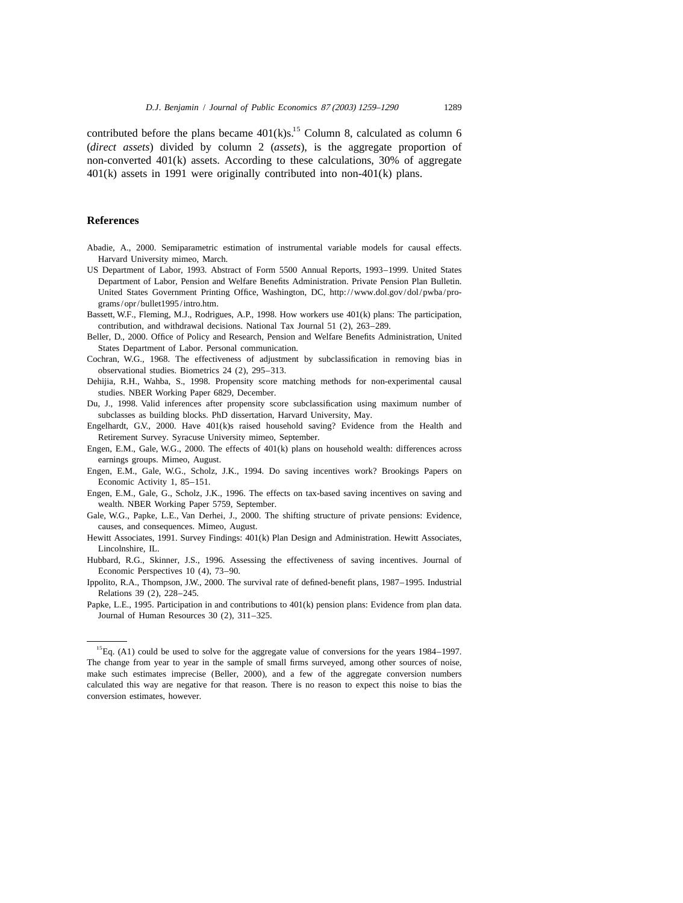contributed before the plans became  $401(k)s$ <sup>15</sup> Column 8, calculated as column 6 (*direct assets*) divided by column 2 (*assets*), is the aggregate proportion of non-converted  $401(k)$  assets. According to these calculations, 30% of aggregate  $401(k)$  assets in 1991 were originally contributed into non-401 $(k)$  plans.

### **References**

- Abadie, A., 2000. Semiparametric estimation of instrumental variable models for causal effects. Harvard University mimeo, March.
- US Department of Labor, 1993. Abstract of Form 5500 Annual Reports, 1993–1999. United States Department of Labor, Pension and Welfare Benefits Administration. Private Pension Plan Bulletin. United States Government Printing Office, Washington, DC, http://www.dol.gov/dol/pwba/programs/opr/bullet1995/intro.htm.
- Bassett, W.F., Fleming, M.J., Rodrigues, A.P., 1998. How workers use 401(k) plans: The participation, contribution, and withdrawal decisions. National Tax Journal 51 (2), 263–289.
- Beller, D., 2000. Office of Policy and Research, Pension and Welfare Benefits Administration, United States Department of Labor. Personal communication.
- Cochran, W.G., 1968. The effectiveness of adjustment by subclassification in removing bias in observational studies. Biometrics 24 (2), 295–313.
- Dehijia, R.H., Wahba, S., 1998. Propensity score matching methods for non-experimental causal studies. NBER Working Paper 6829, December.
- Du, J., 1998. Valid inferences after propensity score subclassification using maximum number of subclasses as building blocks. PhD dissertation, Harvard University, May.
- Engelhardt, G.V., 2000. Have 401(k)s raised household saving? Evidence from the Health and Retirement Survey. Syracuse University mimeo, September.
- Engen, E.M., Gale, W.G., 2000. The effects of 401(k) plans on household wealth: differences across earnings groups. Mimeo, August.
- Engen, E.M., Gale, W.G., Scholz, J.K., 1994. Do saving incentives work? Brookings Papers on Economic Activity 1, 85–151.
- Engen, E.M., Gale, G., Scholz, J.K., 1996. The effects on tax-based saving incentives on saving and wealth. NBER Working Paper 5759, September.
- Gale, W.G., Papke, L.E., Van Derhei, J., 2000. The shifting structure of private pensions: Evidence, causes, and consequences. Mimeo, August.
- Hewitt Associates, 1991. Survey Findings: 401(k) Plan Design and Administration. Hewitt Associates, Lincolnshire, IL.
- Hubbard, R.G., Skinner, J.S., 1996. Assessing the effectiveness of saving incentives. Journal of Economic Perspectives 10 (4), 73–90.
- Ippolito, R.A., Thompson, J.W., 2000. The survival rate of defined-benefit plans, 1987–1995. Industrial Relations 39 (2), 228–245.
- Papke, L.E., 1995. Participation in and contributions to 401(k) pension plans: Evidence from plan data. Journal of Human Resources 30 (2), 311–325.

<sup>&</sup>lt;sup>15</sup>Eq. (A1) could be used to solve for the aggregate value of conversions for the years 1984–1997. The change from year to year in the sample of small firms surveyed, among other sources of noise, make such estimates imprecise (Beller, 2000), and a few of the aggregate conversion numbers calculated this way are negative for that reason. There is no reason to expect this noise to bias the conversion estimates, however.